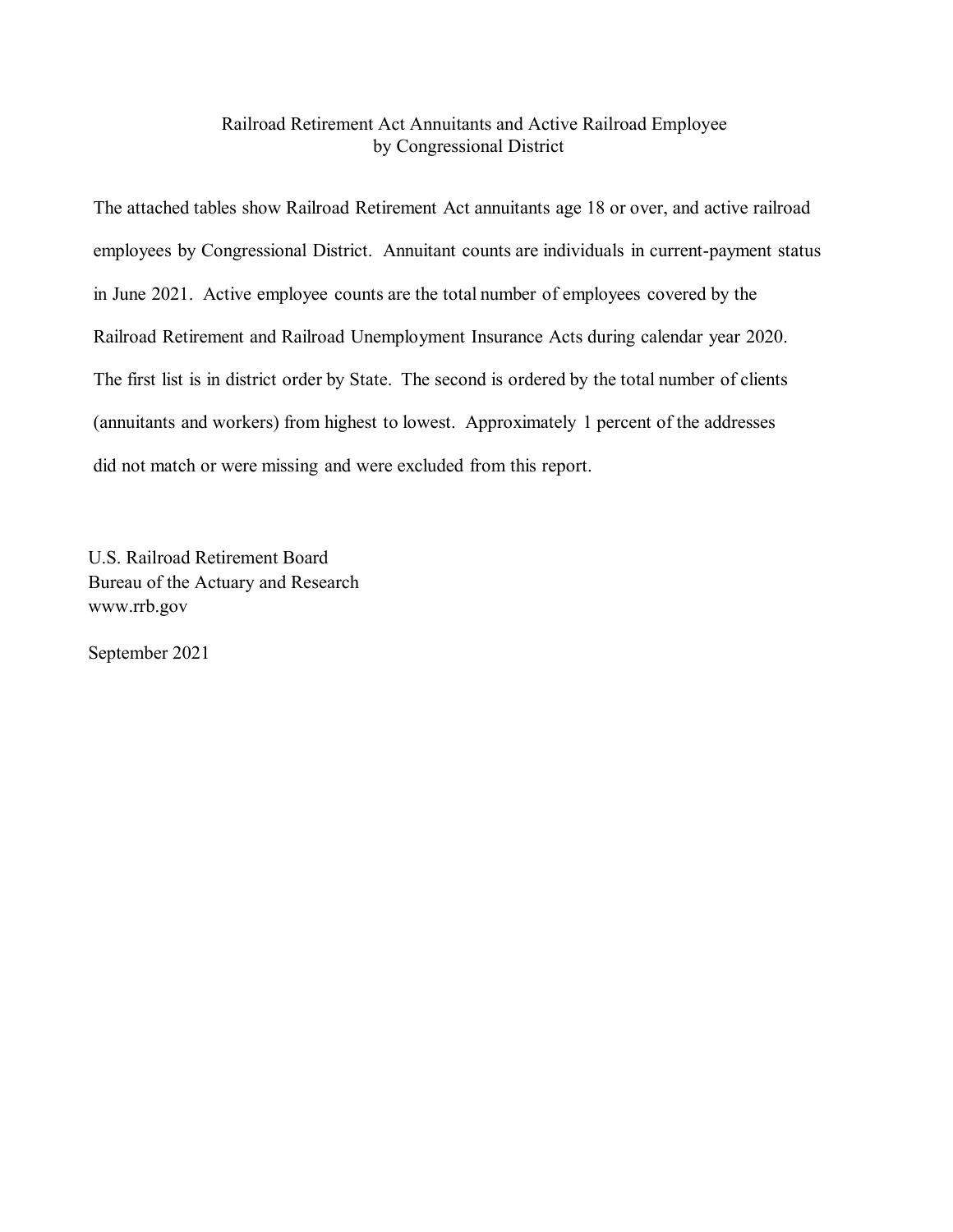### Railroad Retirement Act Annuitants and Active Railroad Employee by Congressional District

The attached tables show Railroad Retirement Act annuitants age 18 or over, and active railroad employees by Congressional District. Annuitant counts are individuals in current-payment status in June 2021. Active employee counts are the total number of employees covered by the Railroad Retirement and Railroad Unemployment Insurance Acts during calendar year 2020. The first list is in district order by State. The second is ordered by the total number of clients (annuitants and workers) from highest to lowest. Approximately 1 percent of the addresses did not match or were missing and were excluded from this report.

U.S. Railroad Retirement Board Bureau of the Actuary and Research www.rrb.gov

September 2021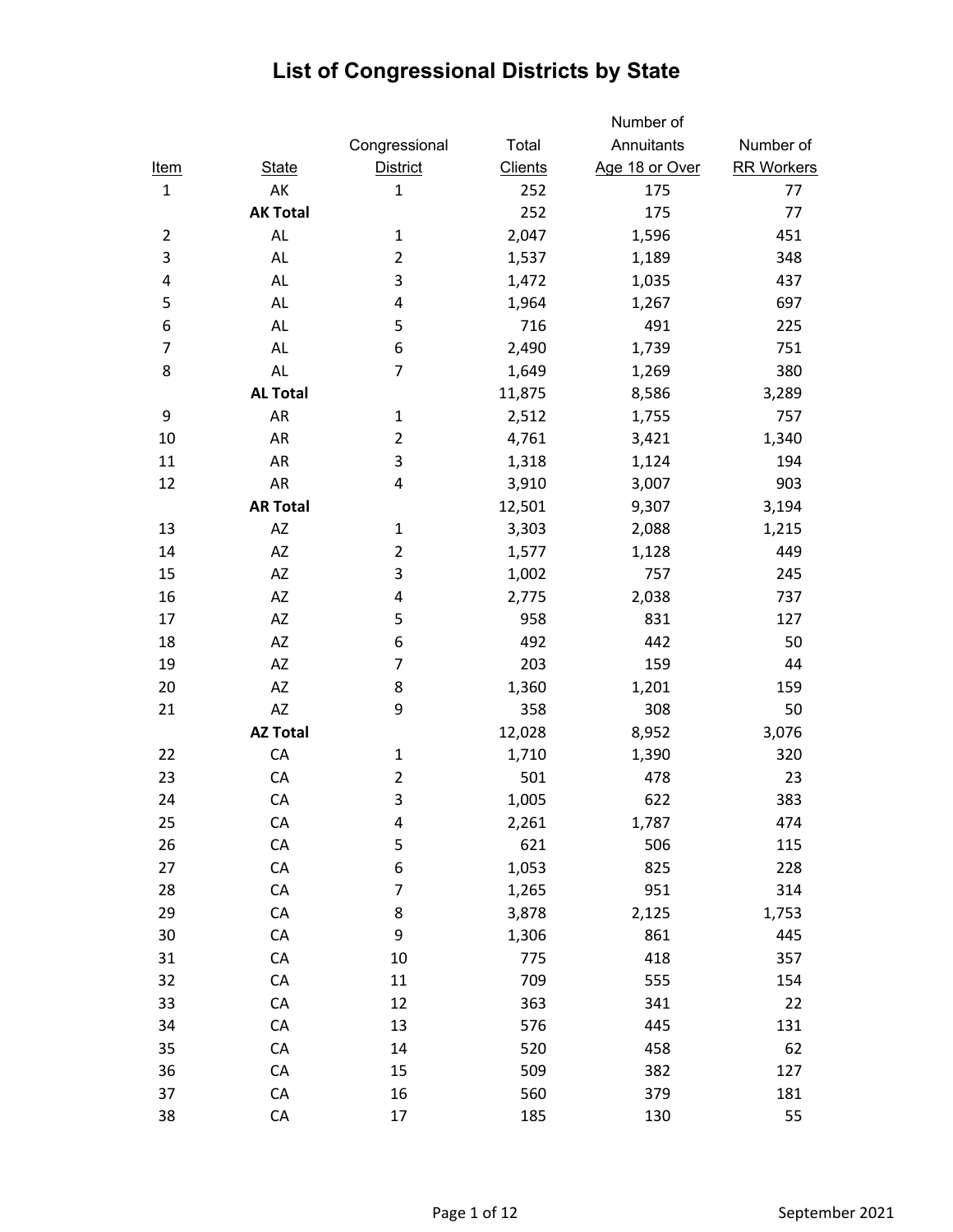|                |                 |                 |                | Number of      |                   |
|----------------|-----------------|-----------------|----------------|----------------|-------------------|
|                |                 | Congressional   | Total          | Annuitants     | Number of         |
| <u>Item</u>    | <b>State</b>    | <b>District</b> | <b>Clients</b> | Age 18 or Over | <b>RR Workers</b> |
| $\mathbf{1}$   | AK              | $\mathbf{1}$    | 252            | 175            | 77                |
|                | <b>AK Total</b> |                 | 252            | 175            | 77                |
| $\overline{2}$ | AL              | $\mathbf{1}$    | 2,047          | 1,596          | 451               |
| 3              | AL              | $\overline{2}$  | 1,537          | 1,189          | 348               |
| 4              | AL              | 3               | 1,472          | 1,035          | 437               |
| 5              | AL              | 4               | 1,964          | 1,267          | 697               |
| 6              | AL              | 5               | 716            | 491            | 225               |
| $\overline{7}$ | AL              | 6               | 2,490          | 1,739          | 751               |
| 8              | <b>AL</b>       | 7               | 1,649          | 1,269          | 380               |
|                | <b>AL Total</b> |                 | 11,875         | 8,586          | 3,289             |
| 9              | AR              | $\mathbf{1}$    | 2,512          | 1,755          | 757               |
| 10             | AR              | $\overline{2}$  | 4,761          | 3,421          | 1,340             |
| 11             | AR              | 3               | 1,318          | 1,124          | 194               |
| 12             | AR              | 4               | 3,910          | 3,007          | 903               |
|                | <b>AR Total</b> |                 | 12,501         | 9,307          | 3,194             |
| 13             | AZ              | $\mathbf{1}$    | 3,303          | 2,088          | 1,215             |
| 14             | AZ              | $\overline{2}$  | 1,577          | 1,128          | 449               |
| 15             | AZ              | 3               | 1,002          | 757            | 245               |
| 16             | AZ              | 4               | 2,775          | 2,038          | 737               |
| 17             | AZ              | 5               | 958            | 831            | 127               |
| 18             | AZ              | 6               | 492            | 442            | 50                |
| 19             | AZ              | $\overline{7}$  | 203            | 159            | 44                |
| 20             | AZ              | 8               | 1,360          | 1,201          | 159               |
| 21             | AZ              | 9               | 358            | 308            | 50                |
|                | <b>AZ Total</b> |                 | 12,028         | 8,952          | 3,076             |
| 22             | CA              | $\mathbf{1}$    | 1,710          | 1,390          | 320               |
| 23             | CA              | $\overline{2}$  | 501            | 478            | 23                |
| 24             | CA              | 3               | 1,005          | 622            | 383               |
| 25             | CA              | 4               | 2,261          | 1,787          | 474               |
| 26             | ${\sf CA}$      | 5               | 621            | 506            | 115               |
| 27             | CA              | 6               | 1,053          | 825            | 228               |
| 28             | CA              | $\overline{7}$  | 1,265          | 951            | 314               |
| 29             | CA              | 8               | 3,878          | 2,125          | 1,753             |
| 30             | CA              | 9               | 1,306          | 861            | 445               |
| 31             | CA              | 10              | 775            | 418            | 357               |
| 32             | CA              | 11              | 709            | 555            | 154               |
| 33             | CA              | 12              | 363            | 341            | 22                |
| 34             | CA              | 13              | 576            | 445            | 131               |
| 35             | CA              | 14              | 520            | 458            | 62                |
| 36             | СA              | 15              | 509            | 382            | 127               |
| 37             | CA              | 16              | 560            | 379            | 181               |
| 38             | CA              | 17              | 185            | 130            | 55                |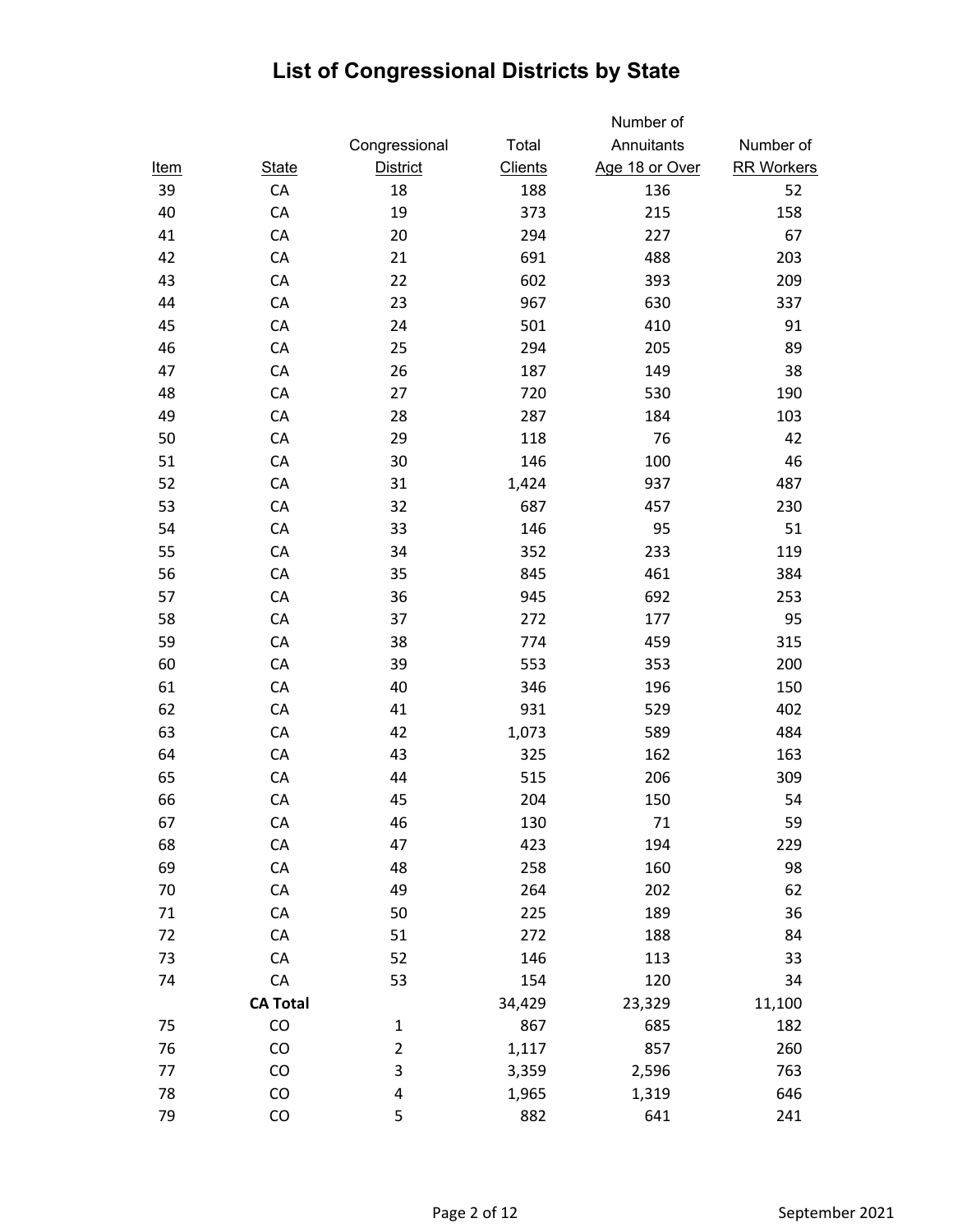|             |                 |                         |                | Number of      |                   |
|-------------|-----------------|-------------------------|----------------|----------------|-------------------|
|             |                 | Congressional           | Total          | Annuitants     | Number of         |
| <u>Item</u> | <b>State</b>    | <b>District</b>         | <b>Clients</b> | Age 18 or Over | <b>RR Workers</b> |
| 39          | CA              | 18                      | 188            | 136            | 52                |
| 40          | CA              | 19                      | 373            | 215            | 158               |
| 41          | CA              | 20                      | 294            | 227            | 67                |
| 42          | CA              | 21                      | 691            | 488            | 203               |
| 43          | CA              | 22                      | 602            | 393            | 209               |
| 44          | CA              | 23                      | 967            | 630            | 337               |
| 45          | CA              | 24                      | 501            | 410            | 91                |
| 46          | CA              | 25                      | 294            | 205            | 89                |
| 47          | CA              | 26                      | 187            | 149            | 38                |
| 48          | CA              | 27                      | 720            | 530            | 190               |
| 49          | CA              | 28                      | 287            | 184            | 103               |
| 50          | CA              | 29                      | 118            | 76             | 42                |
| 51          | CA              | 30                      | 146            | 100            | 46                |
| 52          | CA              | 31                      | 1,424          | 937            | 487               |
| 53          | CA              | 32                      | 687            | 457            | 230               |
| 54          | CA              | 33                      | 146            | 95             | 51                |
| 55          | CA              | 34                      | 352            | 233            | 119               |
| 56          | CA              | 35                      | 845            | 461            | 384               |
| 57          | CA              | 36                      | 945            | 692            | 253               |
| 58          | CA              | 37                      | 272            | 177            | 95                |
| 59          | CA              | 38                      | 774            | 459            | 315               |
| 60          | CA              | 39                      | 553            | 353            | 200               |
| 61          | CA              | 40                      | 346            | 196            | 150               |
| 62          | CA              | 41                      | 931            | 529            | 402               |
| 63          | CA              | 42                      | 1,073          | 589            | 484               |
| 64          | CA              | 43                      | 325            | 162            | 163               |
| 65          | CA              | 44                      | 515            | 206            | 309               |
| 66          | CA              | 45                      | 204            | 150            | 54                |
| 67          | CA              | 46                      | 130            | 71             | 59                |
| 68          | CA              | 47                      | 423            | 194            | 229               |
| 69          | CA              | 48                      | 258            | 160            | 98                |
| 70          | CA              | 49                      | 264            | 202            | 62                |
| 71          | CA              | 50                      | 225            | 189            | 36                |
| 72          | CA              | 51                      | 272            | 188            | 84                |
| 73          | CA              | 52                      | 146            | 113            | 33                |
| 74          | ${\sf CA}$      | 53                      | 154            | 120            | 34                |
|             | <b>CA Total</b> |                         | 34,429         | 23,329         | 11,100            |
| 75          | CO              | $\mathbf{1}$            | 867            | 685            | 182               |
| 76          | CO              | $\overline{\mathbf{c}}$ | 1,117          | 857            | 260               |
| 77          | CO              | 3                       | 3,359          | 2,596          | 763               |
| 78          | CO              | $\pmb{4}$               | 1,965          | 1,319          | 646               |
| 79          | CO              | 5                       | 882            | 641            | 241               |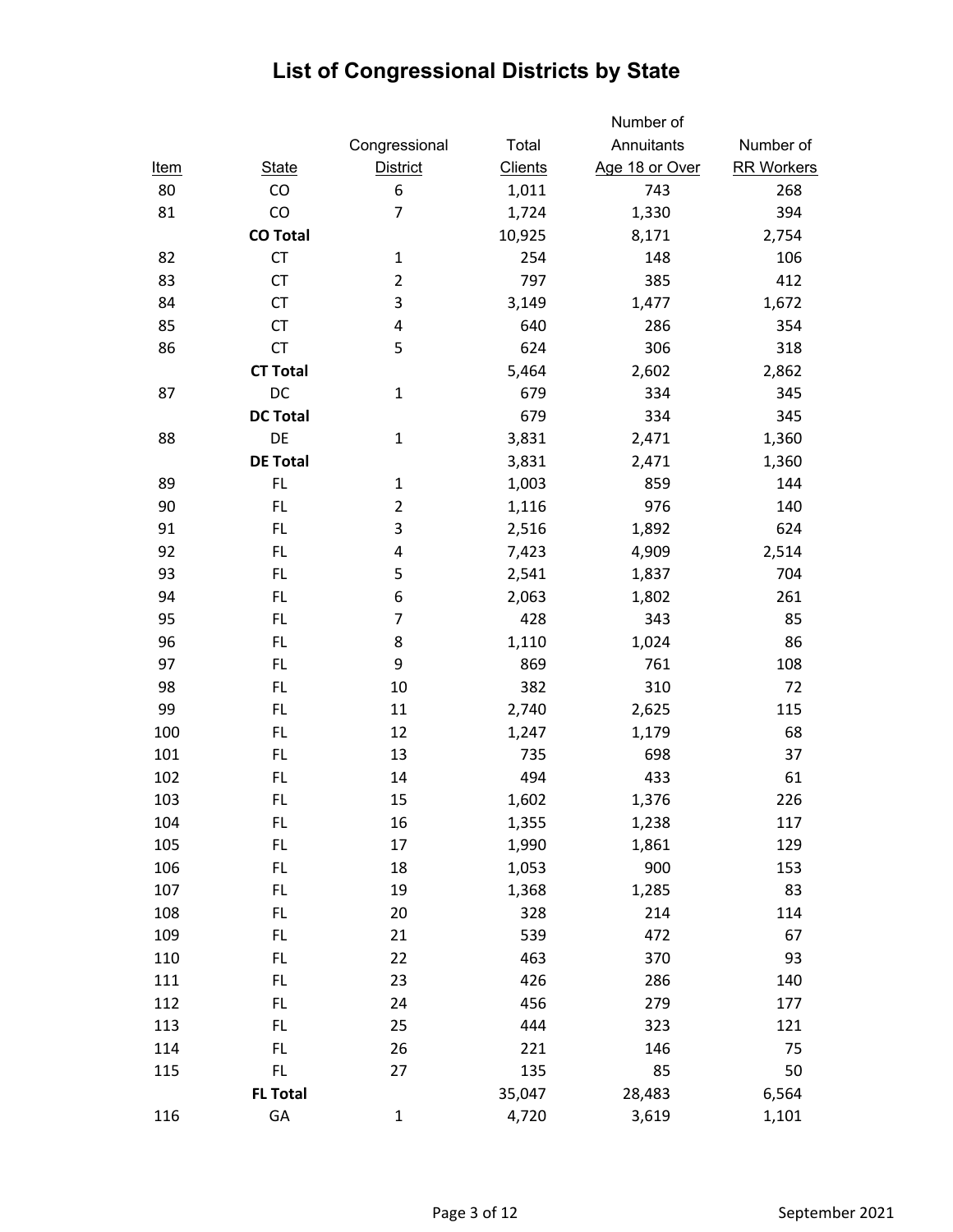|             |                 |                 |                | Number of      |                   |
|-------------|-----------------|-----------------|----------------|----------------|-------------------|
|             |                 | Congressional   | Total          | Annuitants     | Number of         |
| <u>Item</u> | <b>State</b>    | <b>District</b> | <b>Clients</b> | Age 18 or Over | <b>RR Workers</b> |
| 80          | CO              | 6               | 1,011          | 743            | 268               |
| 81          | CO              | $\overline{7}$  | 1,724          | 1,330          | 394               |
|             | <b>CO Total</b> |                 | 10,925         | 8,171          | 2,754             |
| 82          | <b>CT</b>       | $\mathbf{1}$    | 254            | 148            | 106               |
| 83          | <b>CT</b>       | $\overline{2}$  | 797            | 385            | 412               |
| 84          | <b>CT</b>       | 3               | 3,149          | 1,477          | 1,672             |
| 85          | <b>CT</b>       | 4               | 640            | 286            | 354               |
| 86          | CT              | 5               | 624            | 306            | 318               |
|             | <b>CT Total</b> |                 | 5,464          | 2,602          | 2,862             |
| 87          | DC              | $\mathbf{1}$    | 679            | 334            | 345               |
|             | <b>DC Total</b> |                 | 679            | 334            | 345               |
| 88          | DE              | $\mathbf{1}$    | 3,831          | 2,471          | 1,360             |
|             | <b>DE Total</b> |                 | 3,831          | 2,471          | 1,360             |
| 89          | FL.             | $\mathbf{1}$    | 1,003          | 859            | 144               |
| 90          | FL.             | $\overline{2}$  | 1,116          | 976            | 140               |
| 91          | FL.             | 3               | 2,516          | 1,892          | 624               |
| 92          | FL.             | 4               | 7,423          | 4,909          | 2,514             |
| 93          | FL.             | 5               | 2,541          | 1,837          | 704               |
| 94          | FL.             | 6               | 2,063          | 1,802          | 261               |
| 95          | FL.             | $\overline{7}$  | 428            | 343            | 85                |
| 96          | FL.             | 8               | 1,110          | 1,024          | 86                |
| 97          | <b>FL</b>       | 9               | 869            | 761            | 108               |
| 98          | FL.             | 10              | 382            | 310            | 72                |
| 99          | FL.             | 11              | 2,740          | 2,625          | 115               |
| 100         | FL.             | 12              | 1,247          | 1,179          | 68                |
| 101         | FL.             | 13              | 735            | 698            | 37                |
| 102         | FL.             | 14              | 494            | 433            | 61                |
| 103         | FL.             | 15              | 1,602          | 1,376          | 226               |
| 104         | <b>FL</b>       | 16              | 1,355          | 1,238          | 117               |
| 105         | FL.             | 17              | 1,990          | 1,861          | 129               |
| 106         | FL.             | 18              | 1,053          | 900            | 153               |
| 107         | FL.             | 19              | 1,368          | 1,285          | 83                |
| 108         | FL.             | 20              | 328            | 214            | 114               |
| 109         | FL.             | 21              | 539            | 472            | 67                |
| 110         | FL.             | 22              | 463            | 370            | 93                |
| 111         | FL.             | 23              | 426            | 286            | 140               |
| 112         | FL.             | 24              | 456            | 279            | 177               |
| 113         | FL.             | 25              | 444            | 323            | 121               |
| 114         | FL.             | 26              | 221            | 146            | 75                |
| 115         | FL.             | 27              | 135            | 85             | 50                |
|             | <b>FL Total</b> |                 | 35,047         | 28,483         | 6,564             |
| 116         | GA              | $\mathbf{1}$    | 4,720          | 3,619          | 1,101             |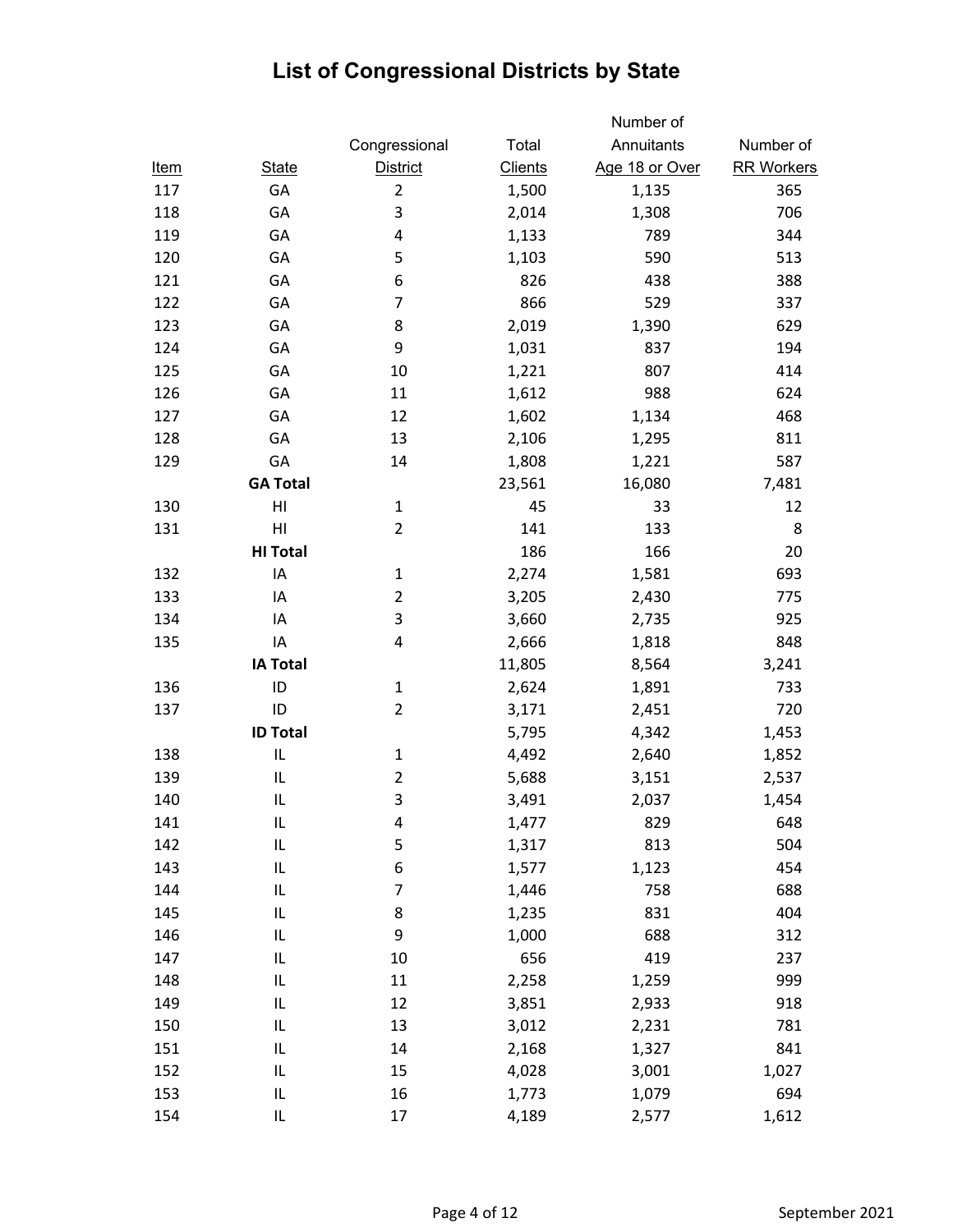|             |                 |                 |                | Number of      |                   |
|-------------|-----------------|-----------------|----------------|----------------|-------------------|
|             |                 | Congressional   | Total          | Annuitants     | Number of         |
| <u>Item</u> | <b>State</b>    | <b>District</b> | <b>Clients</b> | Age 18 or Over | <b>RR Workers</b> |
| 117         | GA              | $\overline{2}$  | 1,500          | 1,135          | 365               |
| 118         | GA              | 3               | 2,014          | 1,308          | 706               |
| 119         | GA              | 4               | 1,133          | 789            | 344               |
| 120         | GA              | 5               | 1,103          | 590            | 513               |
| 121         | GA              | 6               | 826            | 438            | 388               |
| 122         | GA              | 7               | 866            | 529            | 337               |
| 123         | GA              | 8               | 2,019          | 1,390          | 629               |
| 124         | GA              | 9               | 1,031          | 837            | 194               |
| 125         | GA              | 10              | 1,221          | 807            | 414               |
| 126         | GA              | 11              | 1,612          | 988            | 624               |
| 127         | GA              | 12              | 1,602          | 1,134          | 468               |
| 128         | GA              | 13              | 2,106          | 1,295          | 811               |
| 129         | GA              | 14              | 1,808          | 1,221          | 587               |
|             | <b>GA Total</b> |                 | 23,561         | 16,080         | 7,481             |
| 130         | HI              | $\mathbf 1$     | 45             | 33             | 12                |
| 131         | HI              | $\overline{2}$  | 141            | 133            | 8                 |
|             | <b>HI Total</b> |                 | 186            | 166            | 20                |
| 132         | IA              | $\mathbf{1}$    | 2,274          | 1,581          | 693               |
| 133         | IA              | $\overline{2}$  | 3,205          | 2,430          | 775               |
| 134         | IA              | 3               | 3,660          | 2,735          | 925               |
| 135         | IA              | 4               | 2,666          | 1,818          | 848               |
|             | <b>IA Total</b> |                 | 11,805         | 8,564          | 3,241             |
| 136         | ID              | $\mathbf{1}$    | 2,624          | 1,891          | 733               |
| 137         | ID              | $\overline{2}$  | 3,171          | 2,451          | 720               |
|             | <b>ID Total</b> |                 | 5,795          | 4,342          | 1,453             |
| 138         | IL              | $\mathbf{1}$    | 4,492          | 2,640          | 1,852             |
| 139         | IL              | $\overline{2}$  | 5,688          | 3,151          | 2,537             |
| 140         | IL              | 3               | 3,491          | 2,037          | 1,454             |
| 141         | IL              | 4               | 1,477          | 829            | 648               |
| 142         | IL              | 5               | 1,317          | 813            | 504               |
| 143         | IL              | 6               | 1,577          | 1,123          | 454               |
| 144         | IL              | 7               | 1,446          | 758            | 688               |
| 145         | IL              | 8               | 1,235          | 831            | 404               |
| 146         | IL              | 9               | 1,000          | 688            | 312               |
| 147         | IL              | 10              | 656            | 419            | 237               |
| 148         | IL              | 11              | 2,258          | 1,259          | 999               |
| 149         | IL              | 12              | 3,851          | 2,933          | 918               |
| 150         | IL              | 13              | 3,012          | 2,231          | 781               |
| 151         | IL              | 14              | 2,168          | 1,327          | 841               |
| 152         | IL              | 15              | 4,028          | 3,001          | 1,027             |
| 153         | IL              | 16              | 1,773          | 1,079          | 694               |
| 154         | L               | 17              | 4,189          | 2,577          | 1,612             |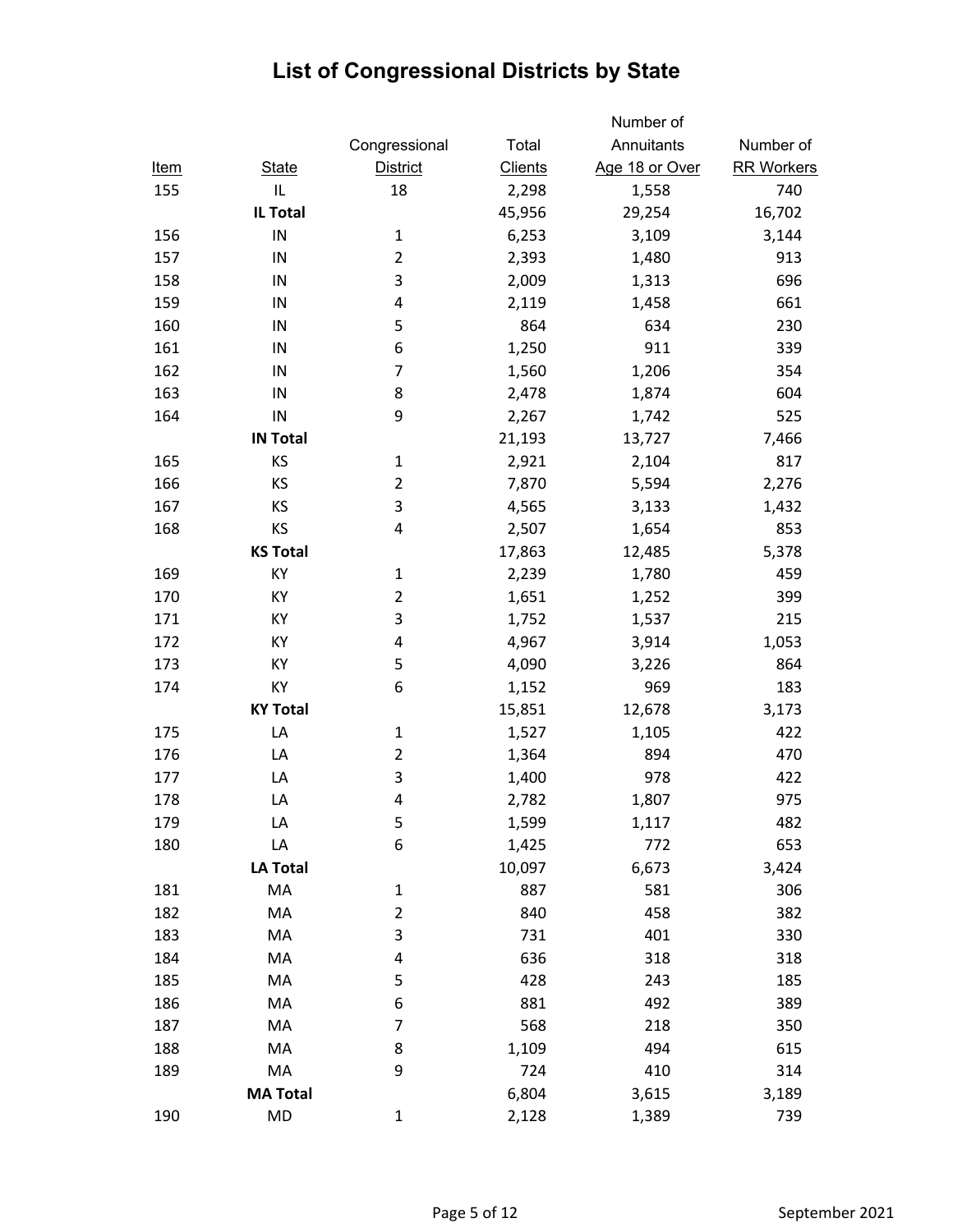|             |                 |                 |                | Number of      |                   |
|-------------|-----------------|-----------------|----------------|----------------|-------------------|
|             |                 | Congressional   | Total          | Annuitants     | Number of         |
| <u>Item</u> | <b>State</b>    | <b>District</b> | <b>Clients</b> | Age 18 or Over | <b>RR Workers</b> |
| 155         | IL              | 18              | 2,298          | 1,558          | 740               |
|             | <b>IL Total</b> |                 | 45,956         | 29,254         | 16,702            |
| 156         | IN              | $\mathbf 1$     | 6,253          | 3,109          | 3,144             |
| 157         | IN              | $\overline{2}$  | 2,393          | 1,480          | 913               |
| 158         | IN              | 3               | 2,009          | 1,313          | 696               |
| 159         | IN              | 4               | 2,119          | 1,458          | 661               |
| 160         | IN              | 5               | 864            | 634            | 230               |
| 161         | IN              | 6               | 1,250          | 911            | 339               |
| 162         | IN              | 7               | 1,560          | 1,206          | 354               |
| 163         | IN              | 8               | 2,478          | 1,874          | 604               |
| 164         | IN              | 9               | 2,267          | 1,742          | 525               |
|             | <b>IN Total</b> |                 | 21,193         | 13,727         | 7,466             |
| 165         | KS              | $\mathbf 1$     | 2,921          | 2,104          | 817               |
| 166         | KS              | $\overline{2}$  | 7,870          | 5,594          | 2,276             |
| 167         | KS              | 3               | 4,565          | 3,133          | 1,432             |
| 168         | KS              | 4               | 2,507          | 1,654          | 853               |
|             | <b>KS Total</b> |                 | 17,863         | 12,485         | 5,378             |
| 169         | KY              | $\mathbf 1$     | 2,239          | 1,780          | 459               |
| 170         | KY              | $\overline{2}$  | 1,651          | 1,252          | 399               |
| 171         | KY              | 3               | 1,752          | 1,537          | 215               |
| 172         | KY              | 4               | 4,967          | 3,914          | 1,053             |
| 173         | KY              | 5               | 4,090          | 3,226          | 864               |
| 174         | KY              | 6               | 1,152          | 969            | 183               |
|             | <b>KY Total</b> |                 | 15,851         | 12,678         | 3,173             |
| 175         | LA              | $\mathbf{1}$    | 1,527          | 1,105          | 422               |
| 176         | LA              | $\overline{2}$  | 1,364          | 894            | 470               |
| 177         | LA              | 3               | 1,400          | 978            | 422               |
| 178         | LA              | 4               | 2,782          | 1,807          | 975               |
| 179         | LA              | 5               | 1,599          | 1,117          | 482               |
| 180         | LA              | 6               | 1,425          | 772            | 653               |
|             | <b>LA Total</b> |                 | 10,097         | 6,673          | 3,424             |
| 181         | MA              | 1               | 887            | 581            | 306               |
| 182         | MA              | $\overline{2}$  | 840            | 458            | 382               |
| 183         | MA              | 3               | 731            | 401            | 330               |
| 184         | MA              | 4               | 636            | 318            | 318               |
| 185         | MA              | 5               | 428            | 243            | 185               |
| 186         | MA              | 6               | 881            | 492            | 389               |
| 187         | MA              | 7               | 568            | 218            | 350               |
| 188         | MA              | 8               | 1,109          | 494            | 615               |
| 189         | MA              | 9               | 724            | 410            | 314               |
|             | <b>MA Total</b> |                 | 6,804          | 3,615          | 3,189             |
| 190         | MD              | $\mathbf{1}$    | 2,128          | 1,389          | 739               |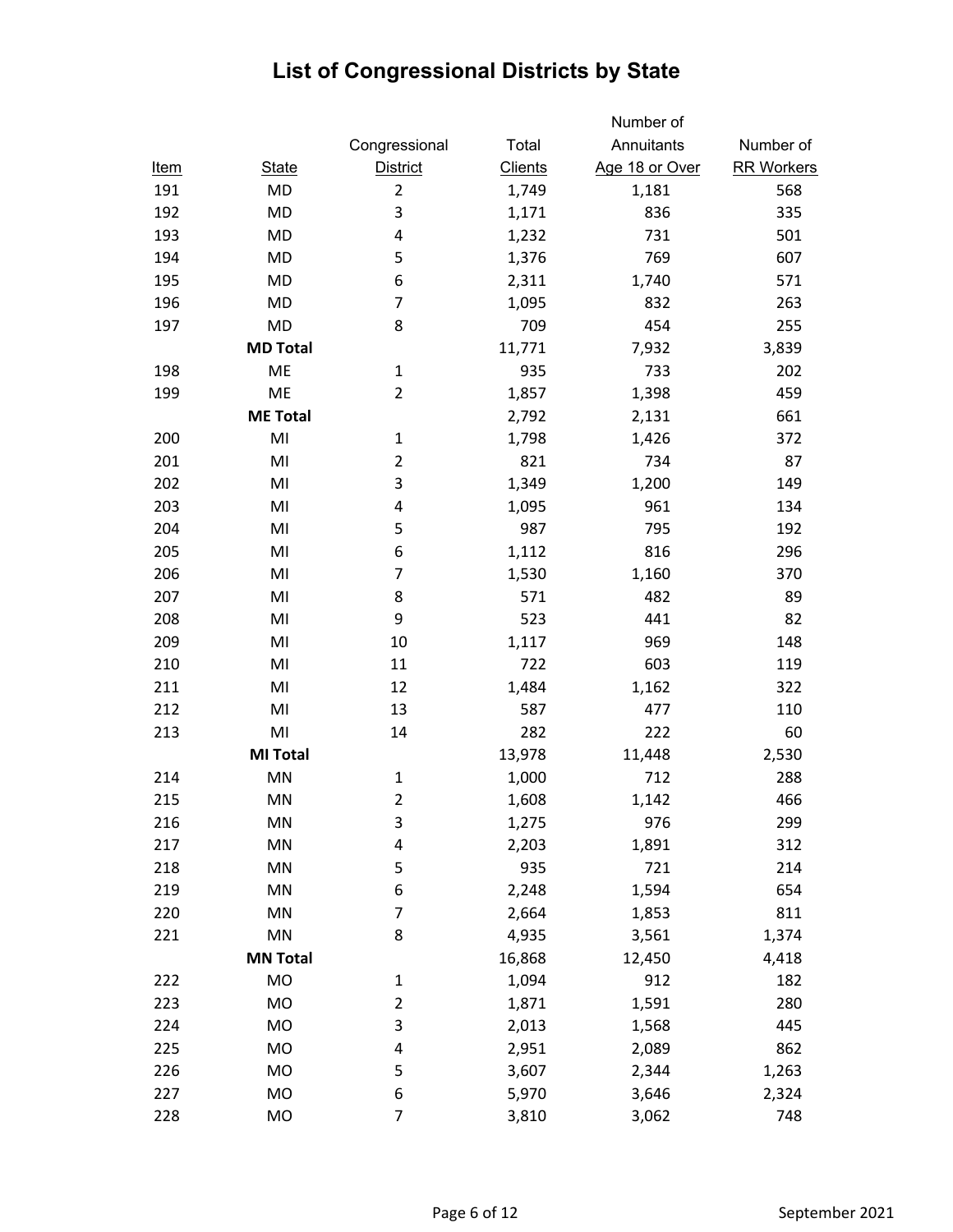|             |                        |                 |                | Number of      |                   |
|-------------|------------------------|-----------------|----------------|----------------|-------------------|
|             |                        | Congressional   | Total          | Annuitants     | Number of         |
| <u>Item</u> | <b>State</b>           | <b>District</b> | <b>Clients</b> | Age 18 or Over | <b>RR Workers</b> |
| 191         | MD                     | $\overline{2}$  | 1,749          | 1,181          | 568               |
| 192         | MD                     | 3               | 1,171          | 836            | 335               |
| 193         | <b>MD</b>              | 4               | 1,232          | 731            | 501               |
| 194         | <b>MD</b>              | 5               | 1,376          | 769            | 607               |
| 195         | MD                     | 6               | 2,311          | 1,740          | 571               |
| 196         | MD                     | $\overline{7}$  | 1,095          | 832            | 263               |
| 197         | MD                     | 8               | 709            | 454            | 255               |
|             | <b>MD Total</b>        |                 | 11,771         | 7,932          | 3,839             |
| 198         | ME                     | $\mathbf{1}$    | 935            | 733            | 202               |
| 199         | ME                     | $\overline{2}$  | 1,857          | 1,398          | 459               |
|             | <b>ME Total</b>        |                 | 2,792          | 2,131          | 661               |
| 200         | MI                     | $\mathbf 1$     | 1,798          | 1,426          | 372               |
| 201         | MI                     | $\overline{2}$  | 821            | 734            | 87                |
| 202         | MI                     | 3               | 1,349          | 1,200          | 149               |
| 203         | MI                     | 4               | 1,095          | 961            | 134               |
| 204         | MI                     | 5               | 987            | 795            | 192               |
| 205         | MI                     | 6               | 1,112          | 816            | 296               |
| 206         | MI                     | $\overline{7}$  | 1,530          | 1,160          | 370               |
| 207         | MI                     | 8               | 571            | 482            | 89                |
| 208         | MI                     | 9               | 523            | 441            | 82                |
| 209         | MI                     | 10              | 1,117          | 969            | 148               |
| 210         | MI                     | 11              | 722            | 603            | 119               |
| 211         | MI                     | 12              | 1,484          | 1,162          | 322               |
| 212         | MI                     | 13              | 587            | 477            | 110               |
| 213         | MI                     | 14              | 282            | 222            | 60                |
|             | <b>MI Total</b>        |                 | 13,978         | 11,448         | 2,530             |
| 214         | MN                     | $\mathbf 1$     | 1,000          | 712            | 288               |
| 215         | MN                     | 2               | 1,608          | 1,142          | 466               |
| 216         | MN                     | 3               | 1,275          | 976            | 299               |
| 217         | MN                     | 4               | 2,203          | 1,891          | 312               |
| 218         | MN                     | 5               | 935            | 721            | 214               |
| 219         | MN                     | 6               | 2,248          | 1,594          | 654               |
| 220         | MN                     | $\overline{7}$  | 2,664          | 1,853          | 811               |
| 221         | $\mathsf{M}\mathsf{N}$ | 8               | 4,935          | 3,561          | 1,374             |
|             | <b>MN Total</b>        |                 | 16,868         | 12,450         | 4,418             |
| 222         | MO                     | $\mathbf{1}$    | 1,094          | 912            | 182               |
| 223         | MO                     | $\overline{2}$  | 1,871          | 1,591          | 280               |
| 224         | MO                     | 3               | 2,013          | 1,568          | 445               |
| 225         | MO                     | 4               | 2,951          | 2,089          | 862               |
| 226         | MO                     | 5               | 3,607          | 2,344          | 1,263             |
| 227         | MO                     | 6               | 5,970          | 3,646          | 2,324             |
| 228         | MO                     | $\overline{7}$  | 3,810          | 3,062          | 748               |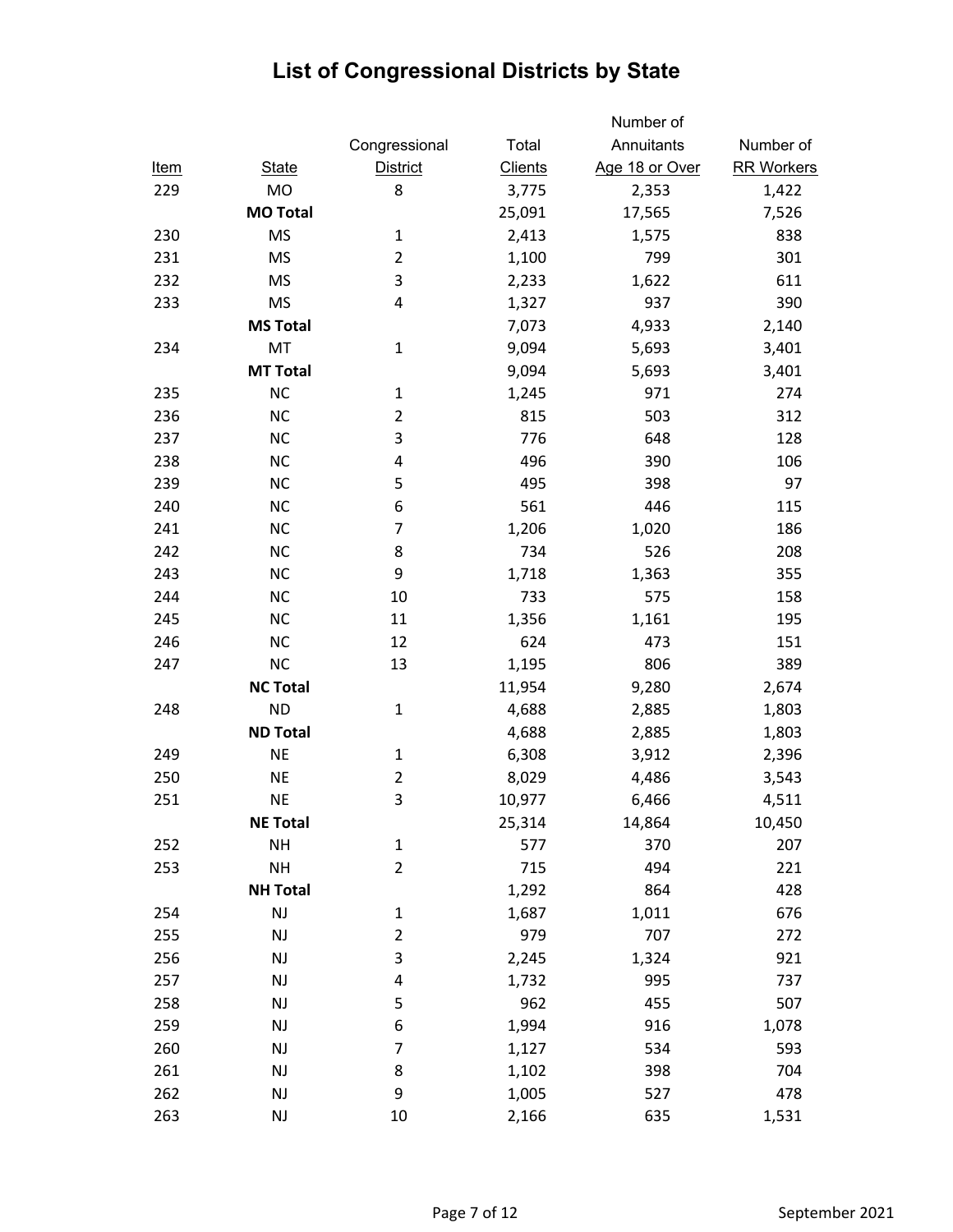|             |                        |                 |                | Number of      |                   |
|-------------|------------------------|-----------------|----------------|----------------|-------------------|
|             |                        | Congressional   | Total          | Annuitants     | Number of         |
| <u>Item</u> | <b>State</b>           | <b>District</b> | <b>Clients</b> | Age 18 or Over | <b>RR Workers</b> |
| 229         | <b>MO</b>              | 8               | 3,775          | 2,353          | 1,422             |
|             | <b>MO Total</b>        |                 | 25,091         | 17,565         | 7,526             |
| 230         | <b>MS</b>              | $\mathbf 1$     | 2,413          | 1,575          | 838               |
| 231         | <b>MS</b>              | $\overline{2}$  | 1,100          | 799            | 301               |
| 232         | <b>MS</b>              | 3               | 2,233          | 1,622          | 611               |
| 233         | <b>MS</b>              | 4               | 1,327          | 937            | 390               |
|             | <b>MS Total</b>        |                 | 7,073          | 4,933          | 2,140             |
| 234         | MT                     | $\mathbf 1$     | 9,094          | 5,693          | 3,401             |
|             | <b>MT Total</b>        |                 | 9,094          | 5,693          | 3,401             |
| 235         | <b>NC</b>              | $\mathbf{1}$    | 1,245          | 971            | 274               |
| 236         | <b>NC</b>              | $\overline{2}$  | 815            | 503            | 312               |
| 237         | <b>NC</b>              | 3               | 776            | 648            | 128               |
| 238         | <b>NC</b>              | 4               | 496            | 390            | 106               |
| 239         | <b>NC</b>              | 5               | 495            | 398            | 97                |
| 240         | <b>NC</b>              | 6               | 561            | 446            | 115               |
| 241         | <b>NC</b>              | 7               | 1,206          | 1,020          | 186               |
| 242         | <b>NC</b>              | 8               | 734            | 526            | 208               |
| 243         | <b>NC</b>              | 9               | 1,718          | 1,363          | 355               |
| 244         | <b>NC</b>              | 10              | 733            | 575            | 158               |
| 245         | <b>NC</b>              | 11              | 1,356          | 1,161          | 195               |
| 246         | <b>NC</b>              | 12              | 624            | 473            | 151               |
| 247         | <b>NC</b>              | 13              | 1,195          | 806            | 389               |
|             | <b>NC Total</b>        |                 | 11,954         | 9,280          | 2,674             |
| 248         | <b>ND</b>              | $\mathbf{1}$    | 4,688          | 2,885          | 1,803             |
|             | <b>ND Total</b>        |                 | 4,688          | 2,885          | 1,803             |
| 249         | <b>NE</b>              | $\mathbf{1}$    | 6,308          | 3,912          | 2,396             |
| 250         | <b>NE</b>              | $\overline{2}$  | 8,029          | 4,486          | 3,543             |
| 251         | <b>NE</b>              | 3               | 10,977         | 6,466          | 4,511             |
|             | <b>NE Total</b>        |                 | 25,314         | 14,864         | 10,450            |
| 252         | <b>NH</b>              | $\mathbf 1$     | 577            | 370            | 207               |
| 253         | <b>NH</b>              | $\overline{2}$  | 715            | 494            | 221               |
|             | <b>NH Total</b>        |                 | 1,292          | 864            | 428               |
| 254         | $\mathsf{NJ}$          | 1               | 1,687          | 1,011          | 676               |
| 255         | $\mathsf{N}\mathsf{J}$ | $\overline{2}$  | 979            | 707            | 272               |
| 256         | <b>NJ</b>              | 3               | 2,245          | 1,324          | 921               |
| 257         | $\mathsf{N}\mathsf{J}$ | 4               | 1,732          | 995            | 737               |
| 258         | <b>NJ</b>              | 5               | 962            | 455            | 507               |
| 259         | NJ                     | 6               | 1,994          | 916            | 1,078             |
| 260         | $\mathsf{N}\mathsf{J}$ | $\overline{7}$  | 1,127          | 534            | 593               |
| 261         | NJ                     | 8               | 1,102          | 398            | 704               |
| 262         | $\mathsf{N}\mathsf{J}$ | 9               | 1,005          | 527            | 478               |
| 263         | NJ                     | 10              | 2,166          | 635            | 1,531             |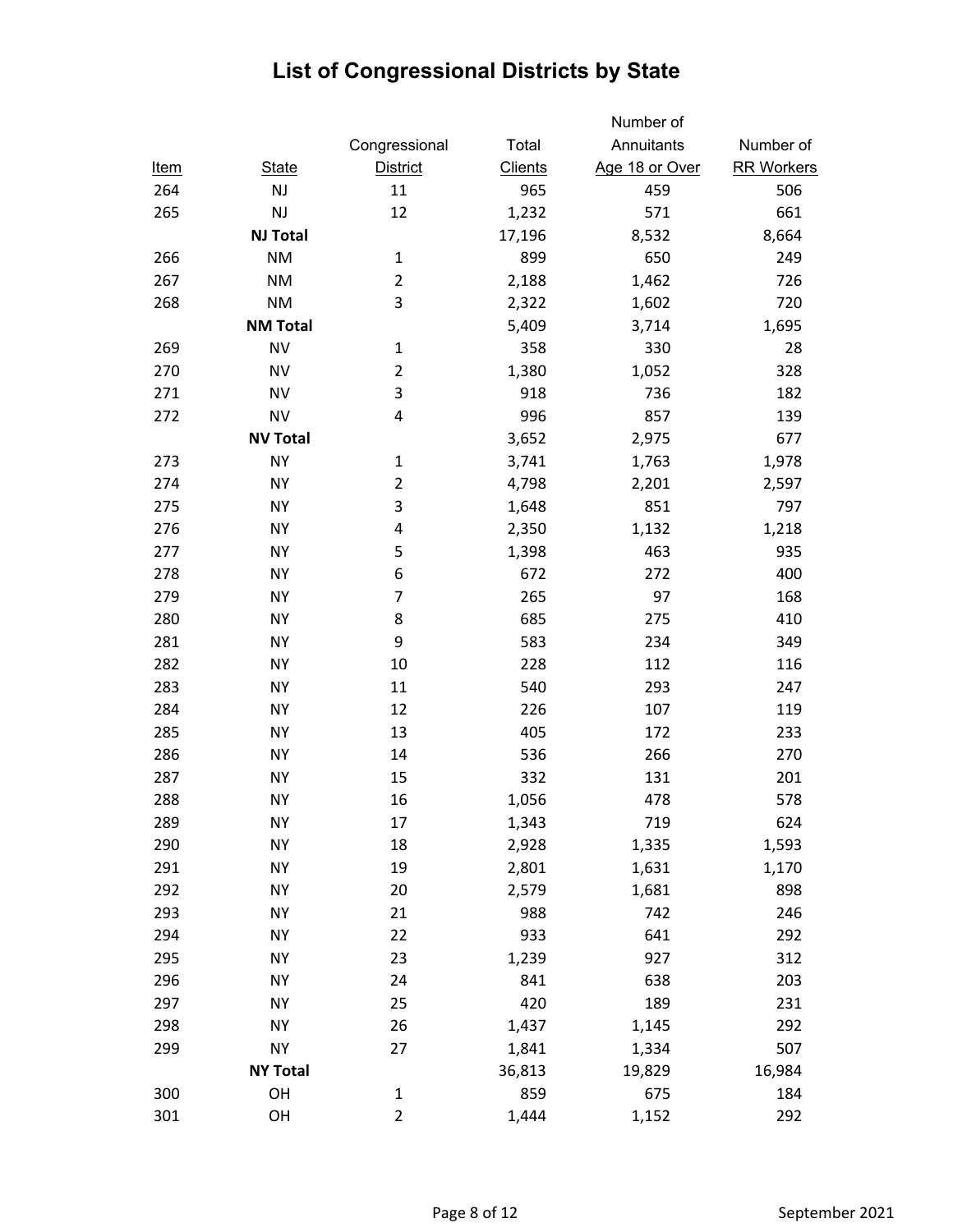|             |                 |                 |                | Number of      |                   |
|-------------|-----------------|-----------------|----------------|----------------|-------------------|
|             |                 | Congressional   | Total          | Annuitants     | Number of         |
| <u>Item</u> | <b>State</b>    | <b>District</b> | <b>Clients</b> | Age 18 or Over | <b>RR Workers</b> |
| 264         | <b>NJ</b>       | 11              | 965            | 459            | 506               |
| 265         | NJ              | 12              | 1,232          | 571            | 661               |
|             | <b>NJ Total</b> |                 | 17,196         | 8,532          | 8,664             |
| 266         | <b>NM</b>       | $\mathbf{1}$    | 899            | 650            | 249               |
| 267         | <b>NM</b>       | $\overline{2}$  | 2,188          | 1,462          | 726               |
| 268         | <b>NM</b>       | 3               | 2,322          | 1,602          | 720               |
|             | <b>NM Total</b> |                 | 5,409          | 3,714          | 1,695             |
| 269         | <b>NV</b>       | $\mathbf 1$     | 358            | 330            | 28                |
| 270         | <b>NV</b>       | $\overline{2}$  | 1,380          | 1,052          | 328               |
| 271         | <b>NV</b>       | 3               | 918            | 736            | 182               |
| 272         | <b>NV</b>       | 4               | 996            | 857            | 139               |
|             | <b>NV Total</b> |                 | 3,652          | 2,975          | 677               |
| 273         | <b>NY</b>       | $\mathbf{1}$    | 3,741          | 1,763          | 1,978             |
| 274         | <b>NY</b>       | $\overline{2}$  | 4,798          | 2,201          | 2,597             |
| 275         | <b>NY</b>       | 3               | 1,648          | 851            | 797               |
| 276         | <b>NY</b>       | 4               | 2,350          | 1,132          | 1,218             |
| 277         | <b>NY</b>       | 5               | 1,398          | 463            | 935               |
| 278         | <b>NY</b>       | 6               | 672            | 272            | 400               |
| 279         | <b>NY</b>       | 7               | 265            | 97             | 168               |
| 280         | <b>NY</b>       | 8               | 685            | 275            | 410               |
| 281         | <b>NY</b>       | 9               | 583            | 234            | 349               |
| 282         | <b>NY</b>       | 10              | 228            | 112            | 116               |
| 283         | <b>NY</b>       | 11              | 540            | 293            | 247               |
| 284         | <b>NY</b>       | 12              | 226            | 107            | 119               |
| 285         | <b>NY</b>       | 13              | 405            | 172            | 233               |
| 286         | <b>NY</b>       | 14              | 536            | 266            | 270               |
| 287         | <b>NY</b>       | 15              | 332            | 131            | 201               |
| 288         | <b>NY</b>       | 16              | 1,056          | 478            | 578               |
| 289         | <b>NY</b>       | 17              | 1,343          | 719            | 624               |
| 290         | <b>NY</b>       | 18              | 2,928          | 1,335          | 1,593             |
| 291         | <b>NY</b>       | 19              | 2,801          | 1,631          | 1,170             |
| 292         | <b>NY</b>       | 20              | 2,579          | 1,681          | 898               |
| 293         | <b>NY</b>       | 21              | 988            | 742            | 246               |
| 294         | <b>NY</b>       | 22              | 933            | 641            | 292               |
| 295         | <b>NY</b>       | 23              | 1,239          | 927            | 312               |
| 296         | <b>NY</b>       | 24              | 841            | 638            | 203               |
| 297         | NY              | 25              | 420            | 189            | 231               |
| 298         | <b>NY</b>       | 26              | 1,437          | 1,145          | 292               |
| 299         | <b>NY</b>       | 27              | 1,841          | 1,334          | 507               |
|             | <b>NY Total</b> |                 | 36,813         | 19,829         | 16,984            |
| 300         | OH              | $\mathbf 1$     | 859            | 675            | 184               |
| 301         | OH              | $\overline{2}$  | 1,444          | 1,152          | 292               |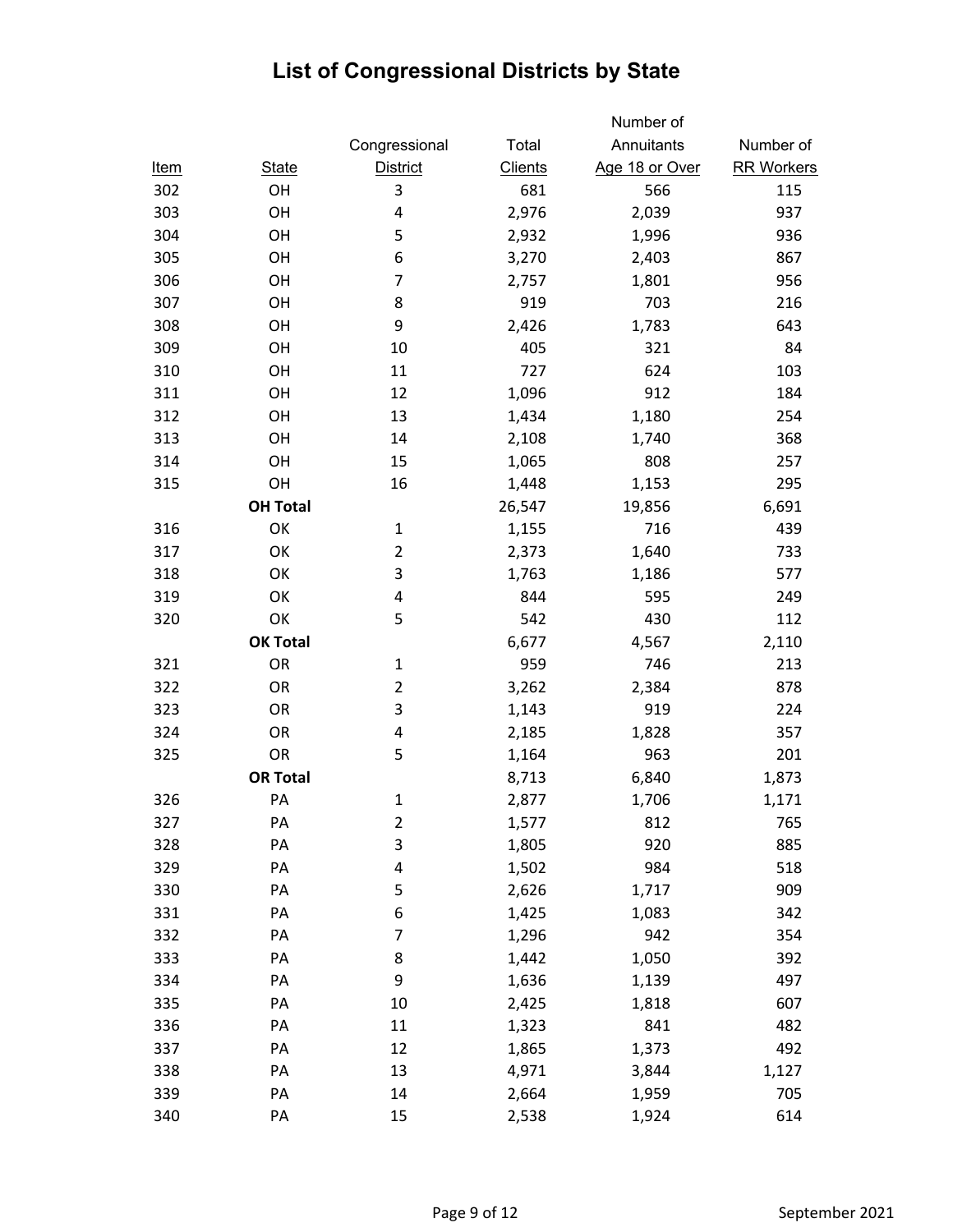|             |                 |                         |                | Number of      |                   |
|-------------|-----------------|-------------------------|----------------|----------------|-------------------|
|             |                 | Congressional           | Total          | Annuitants     | Number of         |
| <u>Item</u> | <b>State</b>    | <b>District</b>         | <b>Clients</b> | Age 18 or Over | <b>RR Workers</b> |
| 302         | OH              | 3                       | 681            | 566            | 115               |
| 303         | OH              | 4                       | 2,976          | 2,039          | 937               |
| 304         | OH              | 5                       | 2,932          | 1,996          | 936               |
| 305         | OH              | 6                       | 3,270          | 2,403          | 867               |
| 306         | OH              | 7                       | 2,757          | 1,801          | 956               |
| 307         | OH              | 8                       | 919            | 703            | 216               |
| 308         | OH              | 9                       | 2,426          | 1,783          | 643               |
| 309         | OH              | 10                      | 405            | 321            | 84                |
| 310         | OH              | 11                      | 727            | 624            | 103               |
| 311         | OH              | 12                      | 1,096          | 912            | 184               |
| 312         | OH              | 13                      | 1,434          | 1,180          | 254               |
| 313         | OH              | 14                      | 2,108          | 1,740          | 368               |
| 314         | OH              | 15                      | 1,065          | 808            | 257               |
| 315         | OH              | 16                      | 1,448          | 1,153          | 295               |
|             | <b>OH Total</b> |                         | 26,547         | 19,856         | 6,691             |
| 316         | OK              | $\mathbf{1}$            | 1,155          | 716            | 439               |
| 317         | OK              | $\overline{2}$          | 2,373          | 1,640          | 733               |
| 318         | OK              | 3                       | 1,763          | 1,186          | 577               |
| 319         | OK              | 4                       | 844            | 595            | 249               |
| 320         | OK              | 5                       | 542            | 430            | 112               |
|             | <b>OK Total</b> |                         | 6,677          | 4,567          | 2,110             |
| 321         | <b>OR</b>       | $\mathbf{1}$            | 959            | 746            | 213               |
| 322         | OR              | $\overline{2}$          | 3,262          | 2,384          | 878               |
| 323         | OR              | 3                       | 1,143          | 919            | 224               |
| 324         | OR              | 4                       | 2,185          | 1,828          | 357               |
| 325         | OR              | 5                       | 1,164          | 963            | 201               |
|             | <b>OR Total</b> |                         | 8,713          | 6,840          | 1,873             |
| 326         | PA              | $\mathbf 1$             | 2,877          | 1,706          | 1,171             |
| 327         | PA              | $\overline{\mathbf{c}}$ | 1,577          | 812            | 765               |
| 328         | PA              | 3                       | 1,805          | 920            | 885               |
| 329         | PA              | 4                       | 1,502          | 984            | 518               |
| 330         | PA              | 5                       | 2,626          | 1,717          | 909               |
| 331         | PA              | 6                       | 1,425          | 1,083          | 342               |
| 332         | PA              | $\overline{7}$          | 1,296          | 942            | 354               |
| 333         | PA              | 8                       | 1,442          | 1,050          | 392               |
| 334         | PA              | 9                       | 1,636          | 1,139          | 497               |
| 335         | PA              | 10                      | 2,425          | 1,818          | 607               |
| 336         | PA              | 11                      | 1,323          | 841            | 482               |
| 337         | PA              | 12                      | 1,865          | 1,373          | 492               |
| 338         | PA              | 13                      | 4,971          | 3,844          | 1,127             |
| 339         | PA              | 14                      | 2,664          | 1,959          | 705               |
| 340         | PA              | 15                      | 2,538          | 1,924          | 614               |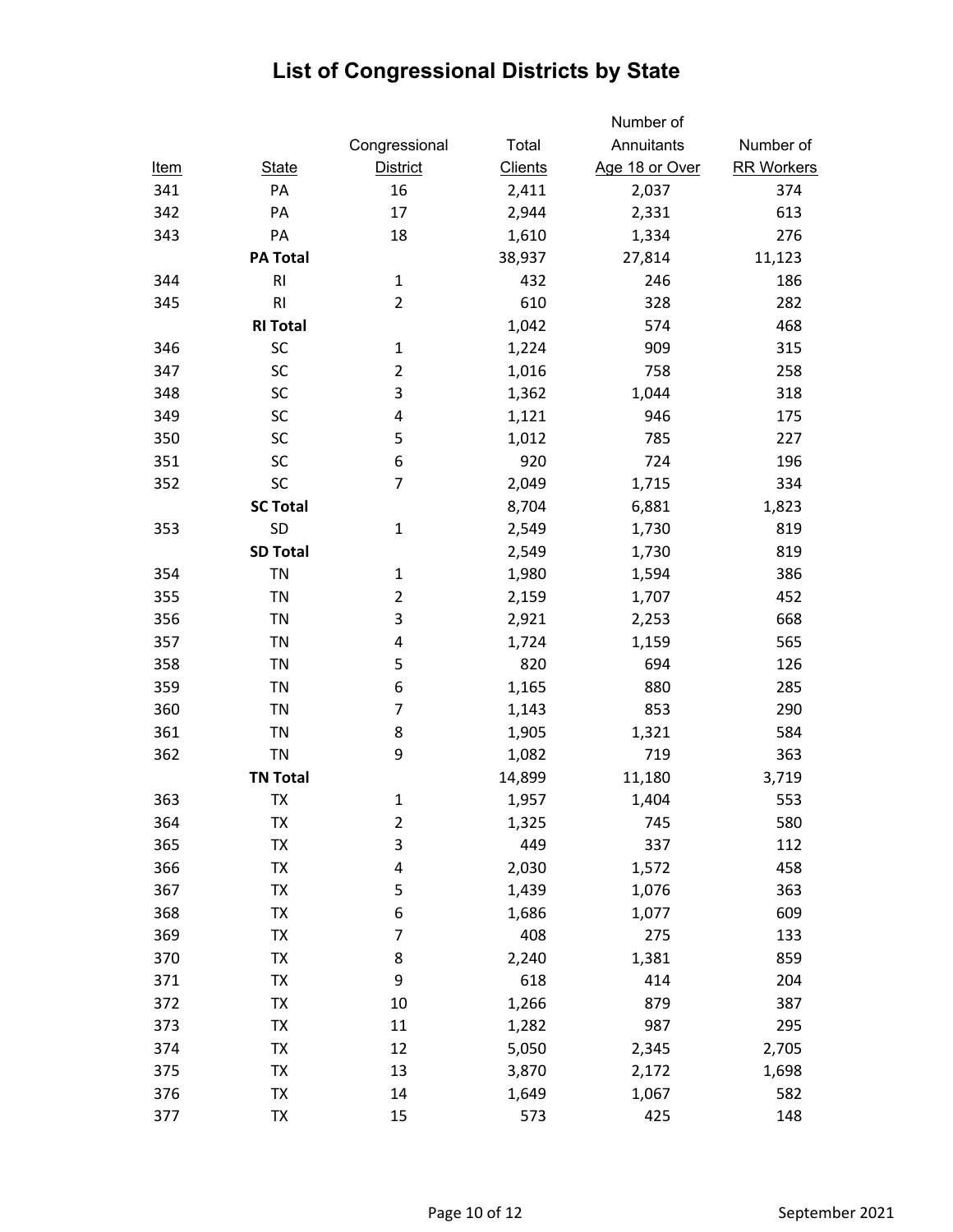|             |                 |                         |                | Number of      |                   |
|-------------|-----------------|-------------------------|----------------|----------------|-------------------|
|             |                 | Congressional           | Total          | Annuitants     | Number of         |
| <u>Item</u> | <b>State</b>    | <b>District</b>         | <b>Clients</b> | Age 18 or Over | <b>RR Workers</b> |
| 341         | PA              | 16                      | 2,411          | 2,037          | 374               |
| 342         | PA              | 17                      | 2,944          | 2,331          | 613               |
| 343         | PA              | 18                      | 1,610          | 1,334          | 276               |
|             | <b>PA Total</b> |                         | 38,937         | 27,814         | 11,123            |
| 344         | R <sub>l</sub>  | $\mathbf{1}$            | 432            | 246            | 186               |
| 345         | R <sub>l</sub>  | $\overline{2}$          | 610            | 328            | 282               |
|             | <b>RI Total</b> |                         | 1,042          | 574            | 468               |
| 346         | SC              | $\mathbf 1$             | 1,224          | 909            | 315               |
| 347         | SC              | $\overline{2}$          | 1,016          | 758            | 258               |
| 348         | SC              | 3                       | 1,362          | 1,044          | 318               |
| 349         | SC              | 4                       | 1,121          | 946            | 175               |
| 350         | SC              | 5                       | 1,012          | 785            | 227               |
| 351         | SC              | 6                       | 920            | 724            | 196               |
| 352         | SC              | $\overline{7}$          | 2,049          | 1,715          | 334               |
|             | <b>SC Total</b> |                         | 8,704          | 6,881          | 1,823             |
| 353         | SD              | $\mathbf{1}$            | 2,549          | 1,730          | 819               |
|             | <b>SD Total</b> |                         | 2,549          | 1,730          | 819               |
| 354         | <b>TN</b>       | $\mathbf 1$             | 1,980          | 1,594          | 386               |
| 355         | <b>TN</b>       | $\overline{2}$          | 2,159          | 1,707          | 452               |
| 356         | <b>TN</b>       | 3                       | 2,921          | 2,253          | 668               |
| 357         | <b>TN</b>       | 4                       | 1,724          | 1,159          | 565               |
| 358         | <b>TN</b>       | 5                       | 820            | 694            | 126               |
| 359         | TN              | 6                       | 1,165          | 880            | 285               |
| 360         | <b>TN</b>       | $\overline{7}$          | 1,143          | 853            | 290               |
| 361         | <b>TN</b>       | 8                       | 1,905          | 1,321          | 584               |
| 362         | <b>TN</b>       | 9                       | 1,082          | 719            | 363               |
|             | <b>TN Total</b> |                         | 14,899         | 11,180         | 3,719             |
| 363         | TХ              | 1                       | 1,957          | 1,404          | 553               |
| 364         | TX              | $\overline{\mathbf{c}}$ | 1,325          | 745            | 580               |
| 365         | TX              | 3                       | 449            | 337            | 112               |
| 366         | TX              | 4                       | 2,030          | 1,572          | 458               |
| 367         | TX              | 5                       | 1,439          | 1,076          | 363               |
| 368         | TX              | 6                       | 1,686          | 1,077          | 609               |
| 369         | TX              | $\overline{7}$          | 408            | 275            | 133               |
| 370         | TX              | 8                       | 2,240          | 1,381          | 859               |
| 371         | TX              | 9                       | 618            | 414            | 204               |
| 372         | TX              | 10                      | 1,266          | 879            | 387               |
| 373         | TX              | 11                      | 1,282          | 987            | 295               |
| 374         | TX              | 12                      | 5,050          | 2,345          | 2,705             |
| 375         | TX              | 13                      | 3,870          | 2,172          | 1,698             |
| 376         | TX              | 14                      | 1,649          | 1,067          | 582               |
| 377         | TX              | 15                      | 573            | 425            | 148               |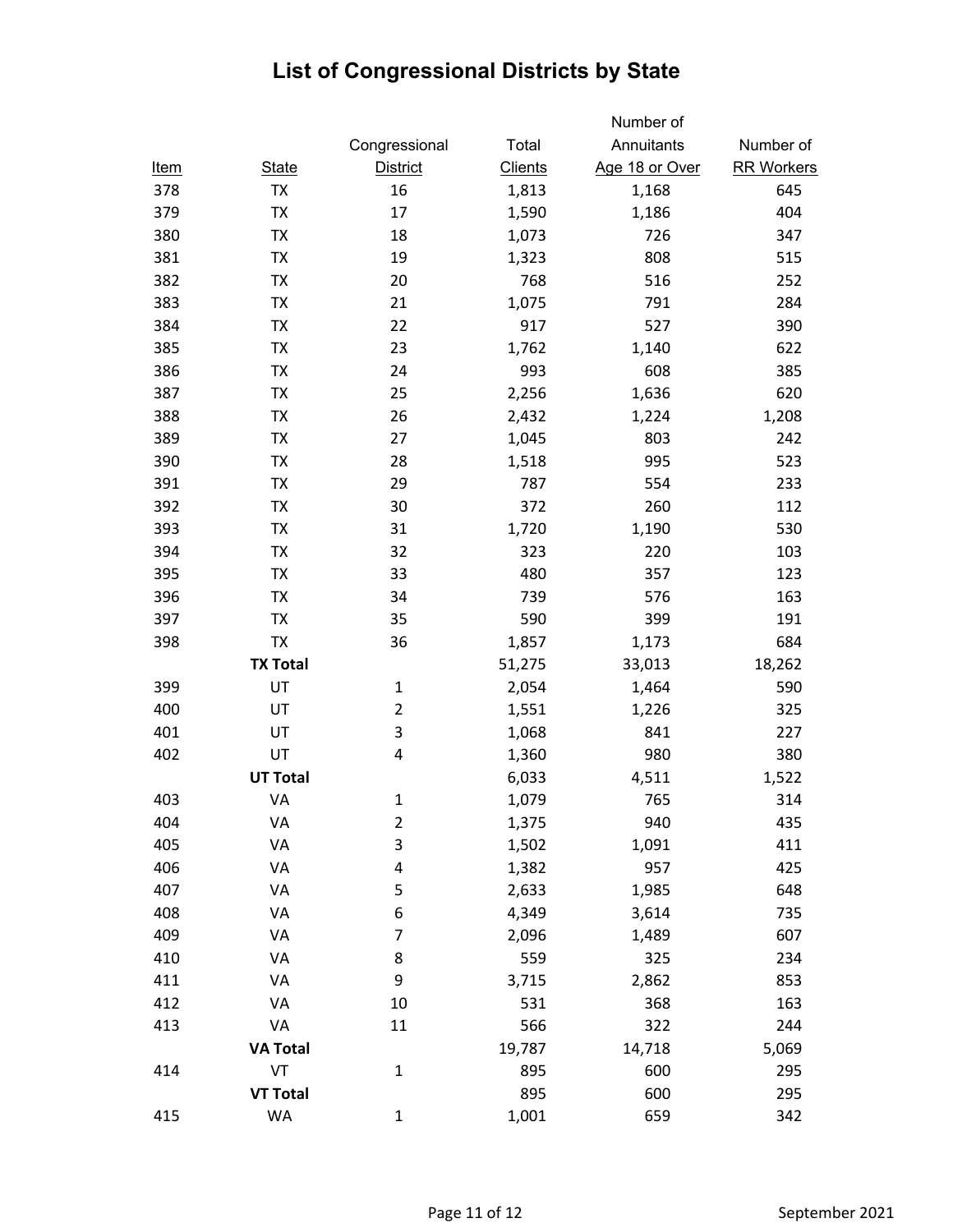|             |                 |                         |                | Number of      |                   |
|-------------|-----------------|-------------------------|----------------|----------------|-------------------|
|             |                 | Congressional           | Total          | Annuitants     | Number of         |
| <u>Item</u> | <b>State</b>    | <b>District</b>         | <b>Clients</b> | Age 18 or Over | <b>RR Workers</b> |
| 378         | TX              | 16                      | 1,813          | 1,168          | 645               |
| 379         | TX              | 17                      | 1,590          | 1,186          | 404               |
| 380         | TX              | 18                      | 1,073          | 726            | 347               |
| 381         | <b>TX</b>       | 19                      | 1,323          | 808            | 515               |
| 382         | TX              | 20                      | 768            | 516            | 252               |
| 383         | TX              | 21                      | 1,075          | 791            | 284               |
| 384         | TX              | 22                      | 917            | 527            | 390               |
| 385         | TX              | 23                      | 1,762          | 1,140          | 622               |
| 386         | TX              | 24                      | 993            | 608            | 385               |
| 387         | TX              | 25                      | 2,256          | 1,636          | 620               |
| 388         | <b>TX</b>       | 26                      | 2,432          | 1,224          | 1,208             |
| 389         | TX              | 27                      | 1,045          | 803            | 242               |
| 390         | TX              | 28                      | 1,518          | 995            | 523               |
| 391         | TX              | 29                      | 787            | 554            | 233               |
| 392         | TX              | 30                      | 372            | 260            | 112               |
| 393         | TX              | 31                      | 1,720          | 1,190          | 530               |
| 394         | <b>TX</b>       | 32                      | 323            | 220            | 103               |
| 395         | <b>TX</b>       | 33                      | 480            | 357            | 123               |
| 396         | TX              | 34                      | 739            | 576            | 163               |
| 397         | <b>TX</b>       | 35                      | 590            | 399            | 191               |
| 398         | TX              | 36                      | 1,857          | 1,173          | 684               |
|             | <b>TX Total</b> |                         | 51,275         | 33,013         | 18,262            |
| 399         | UT              | 1                       | 2,054          | 1,464          | 590               |
| 400         | UT              | $\overline{\mathbf{c}}$ | 1,551          | 1,226          | 325               |
| 401         | UT              | 3                       | 1,068          | 841            | 227               |
| 402         | UT              | 4                       | 1,360          | 980            | 380               |
|             | <b>UT Total</b> |                         | 6,033          | 4,511          | 1,522             |
| 403         | VA              | 1                       | 1,079          | 765            | 314               |
| 404         | VA              | $\overline{\mathbf{c}}$ | 1,375          | 940            | 435               |
| 405         | VA              | 3                       | 1,502          | 1,091          | 411               |
| 406         | VA              | 4                       | 1,382          | 957            | 425               |
| 407         | VA              | 5                       | 2,633          | 1,985          | 648               |
| 408         | VA              | 6                       | 4,349          | 3,614          | 735               |
| 409         | VA              | 7                       | 2,096          | 1,489          | 607               |
| 410         | VA              | 8                       | 559            | 325            | 234               |
| 411         | VA              | 9                       | 3,715          | 2,862          | 853               |
| 412         | VA              | 10                      | 531            | 368            | 163               |
| 413         | VA              | 11                      | 566            | 322            | 244               |
|             | <b>VA Total</b> |                         | 19,787         | 14,718         | 5,069             |
| 414         | VT              | $\mathbf 1$             | 895            | 600            | 295               |
|             | <b>VT Total</b> |                         | 895            | 600            | 295               |
| 415         | WA              | 1                       | 1,001          | 659            | 342               |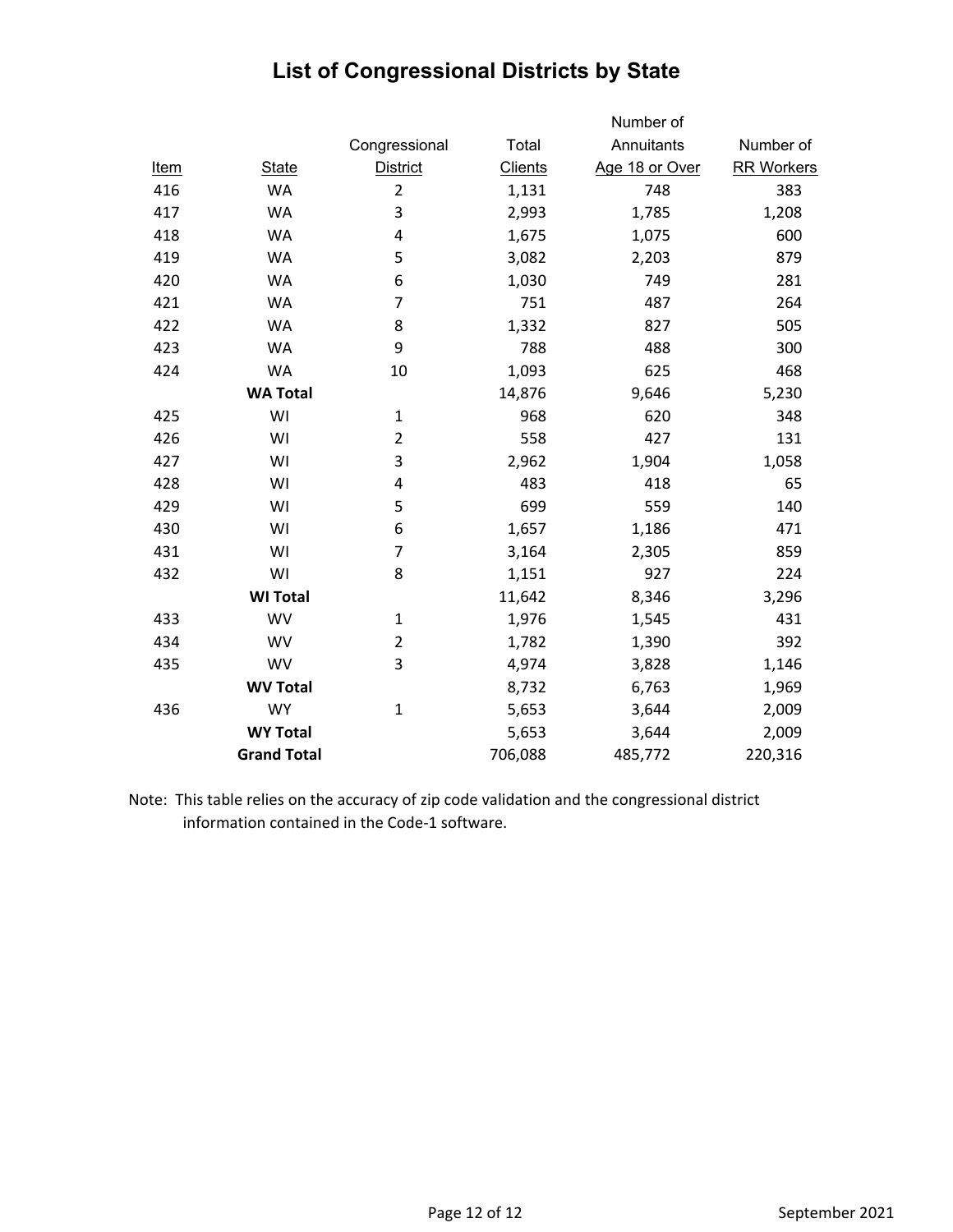|             |                    |                 |                | Number of      |                   |
|-------------|--------------------|-----------------|----------------|----------------|-------------------|
|             |                    | Congressional   | Total          | Annuitants     | Number of         |
| <u>Item</u> | <b>State</b>       | <b>District</b> | <b>Clients</b> | Age 18 or Over | <b>RR Workers</b> |
| 416         | <b>WA</b>          | $\overline{2}$  | 1,131          | 748            | 383               |
| 417         | <b>WA</b>          | 3               | 2,993          | 1,785          | 1,208             |
| 418         | <b>WA</b>          | 4               | 1,675          | 1,075          | 600               |
| 419         | <b>WA</b>          | 5               | 3,082          | 2,203          | 879               |
| 420         | <b>WA</b>          | 6               | 1,030          | 749            | 281               |
| 421         | <b>WA</b>          | 7               | 751            | 487            | 264               |
| 422         | <b>WA</b>          | 8               | 1,332          | 827            | 505               |
| 423         | <b>WA</b>          | 9               | 788            | 488            | 300               |
| 424         | <b>WA</b>          | 10              | 1,093          | 625            | 468               |
|             | <b>WA Total</b>    |                 | 14,876         | 9,646          | 5,230             |
| 425         | WI                 | $\mathbf{1}$    | 968            | 620            | 348               |
| 426         | WI                 | $\overline{2}$  | 558            | 427            | 131               |
| 427         | WI                 | 3               | 2,962          | 1,904          | 1,058             |
| 428         | WI                 | 4               | 483            | 418            | 65                |
| 429         | WI                 | 5               | 699            | 559            | 140               |
| 430         | WI                 | 6               | 1,657          | 1,186          | 471               |
| 431         | WI                 | $\overline{7}$  | 3,164          | 2,305          | 859               |
| 432         | WI                 | 8               | 1,151          | 927            | 224               |
|             | <b>WI Total</b>    |                 | 11,642         | 8,346          | 3,296             |
| 433         | <b>WV</b>          | $\mathbf{1}$    | 1,976          | 1,545          | 431               |
| 434         | <b>WV</b>          | $\overline{2}$  | 1,782          | 1,390          | 392               |
| 435         | WV                 | 3               | 4,974          | 3,828          | 1,146             |
|             | <b>WV Total</b>    |                 | 8,732          | 6,763          | 1,969             |
| 436         | <b>WY</b>          | $\mathbf{1}$    | 5,653          | 3,644          | 2,009             |
|             | <b>WY Total</b>    |                 | 5,653          | 3,644          | 2,009             |
|             | <b>Grand Total</b> |                 | 706,088        | 485,772        | 220,316           |
|             |                    |                 |                |                |                   |

Note: This table relies on the accuracy of zip code validation and the congressional district information contained in the Code‐1 software.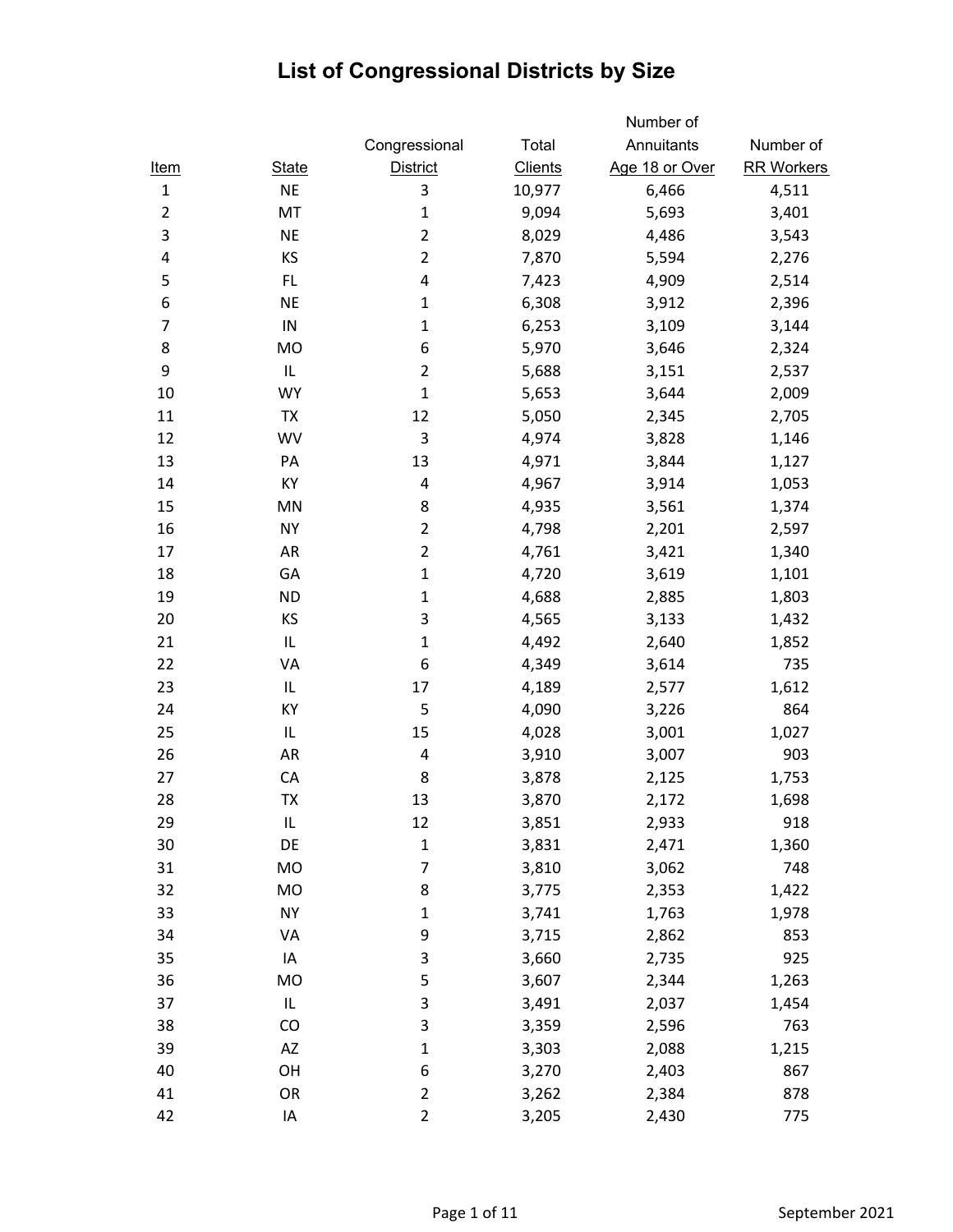|                |              |                 |                | Number of      |                   |
|----------------|--------------|-----------------|----------------|----------------|-------------------|
|                |              | Congressional   | Total          | Annuitants     | Number of         |
| <u>Item</u>    | <b>State</b> | <b>District</b> | <b>Clients</b> | Age 18 or Over | <b>RR Workers</b> |
| $\mathbf{1}$   | <b>NE</b>    | 3               | 10,977         | 6,466          | 4,511             |
| $\overline{2}$ | MT           | $\mathbf{1}$    | 9,094          | 5,693          | 3,401             |
| 3              | <b>NE</b>    | $\overline{2}$  | 8,029          | 4,486          | 3,543             |
| 4              | KS           | $\overline{2}$  | 7,870          | 5,594          | 2,276             |
| 5              | FL           | 4               | 7,423          | 4,909          | 2,514             |
| 6              | <b>NE</b>    | $\mathbf{1}$    | 6,308          | 3,912          | 2,396             |
| $\overline{7}$ | ${\sf IN}$   | $\mathbf 1$     | 6,253          | 3,109          | 3,144             |
| 8              | MO           | 6               | 5,970          | 3,646          | 2,324             |
| 9              | IL           | $\overline{2}$  | 5,688          | 3,151          | 2,537             |
| 10             | <b>WY</b>    | $\mathbf 1$     | 5,653          | 3,644          | 2,009             |
| 11             | <b>TX</b>    | 12              | 5,050          | 2,345          | 2,705             |
| 12             | <b>WV</b>    | 3               | 4,974          | 3,828          | 1,146             |
| 13             | PA           | 13              | 4,971          | 3,844          | 1,127             |
| 14             | KY           | 4               | 4,967          | 3,914          | 1,053             |
| 15             | MN           | 8               | 4,935          | 3,561          | 1,374             |
| 16             | <b>NY</b>    | $\overline{2}$  | 4,798          | 2,201          | 2,597             |
| 17             | AR           | $\overline{2}$  | 4,761          | 3,421          | 1,340             |
| 18             | GA           | $\mathbf 1$     | 4,720          | 3,619          | 1,101             |
| 19             | <b>ND</b>    | $\mathbf 1$     | 4,688          | 2,885          | 1,803             |
| 20             | KS           | 3               | 4,565          | 3,133          | 1,432             |
| 21             | IL           | $\mathbf{1}$    | 4,492          | 2,640          | 1,852             |
| 22             | VA           | 6               | 4,349          | 3,614          | 735               |
| 23             | IL           | 17              | 4,189          | 2,577          | 1,612             |
| 24             | KY           | 5               | 4,090          | 3,226          | 864               |
| 25             | IL           | 15              | 4,028          | 3,001          | 1,027             |
| 26             | AR           | 4               | 3,910          | 3,007          | 903               |
| 27             | CA           | 8               | 3,878          | 2,125          | 1,753             |
| 28             | TX           | 13              | 3,870          | 2,172          | 1,698             |
| 29             | IL           | 12              | 3,851          | 2,933          | 918               |
| 30             | DE           | $\mathbf{1}$    | 3,831          | 2,471          | 1,360             |
| 31             | MO           | 7               | 3,810          | 3,062          | 748               |
| 32             | MO           | 8               | 3,775          | 2,353          | 1,422             |
| 33             | <b>NY</b>    | $\mathbf{1}$    | 3,741          | 1,763          | 1,978             |
| 34             | VA           | 9               | 3,715          | 2,862          | 853               |
| 35             | IA           | 3               | 3,660          | 2,735          | 925               |
| 36             | <b>MO</b>    | 5               | 3,607          | 2,344          | 1,263             |
| 37             | IL           | 3               | 3,491          | 2,037          | 1,454             |
| 38             | CO           | 3               | 3,359          | 2,596          | 763               |
| 39             | AZ           | $\mathbf{1}$    | 3,303          | 2,088          | 1,215             |
| 40             | OH           | 6               | 3,270          | 2,403          | 867               |
| 41             | OR           | $\overline{2}$  | 3,262          | 2,384          | 878               |
| 42             | IA           | $\overline{2}$  | 3,205          | 2,430          | 775               |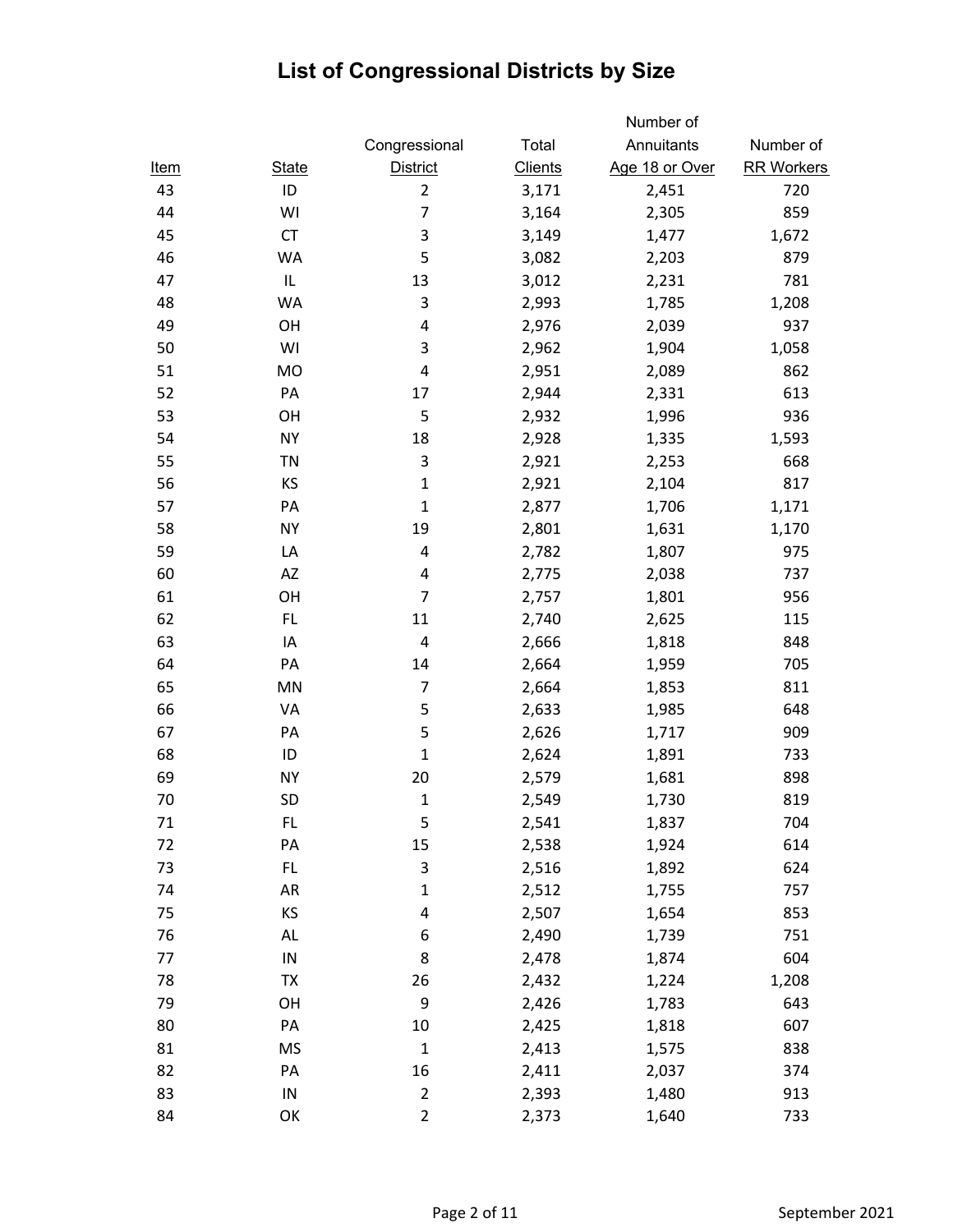|             |              |                 |                | Number of      |                   |
|-------------|--------------|-----------------|----------------|----------------|-------------------|
|             |              | Congressional   | Total          | Annuitants     | Number of         |
| <u>Item</u> | <b>State</b> | <b>District</b> | <b>Clients</b> | Age 18 or Over | <b>RR Workers</b> |
| 43          | ID           | $\overline{2}$  | 3,171          | 2,451          | 720               |
| 44          | WI           | 7               | 3,164          | 2,305          | 859               |
| 45          | <b>CT</b>    | 3               | 3,149          | 1,477          | 1,672             |
| 46          | WA           | 5               | 3,082          | 2,203          | 879               |
| 47          | IL           | 13              | 3,012          | 2,231          | 781               |
| 48          | WA           | 3               | 2,993          | 1,785          | 1,208             |
| 49          | OH           | 4               | 2,976          | 2,039          | 937               |
| 50          | WI           | 3               | 2,962          | 1,904          | 1,058             |
| 51          | MO           | 4               | 2,951          | 2,089          | 862               |
| 52          | PA           | 17              | 2,944          | 2,331          | 613               |
| 53          | OH           | 5               | 2,932          | 1,996          | 936               |
| 54          | <b>NY</b>    | 18              | 2,928          | 1,335          | 1,593             |
| 55          | <b>TN</b>    | 3               | 2,921          | 2,253          | 668               |
| 56          | KS           | $\mathbf{1}$    | 2,921          | 2,104          | 817               |
| 57          | PA           | $\mathbf 1$     | 2,877          | 1,706          | 1,171             |
| 58          | <b>NY</b>    | 19              | 2,801          | 1,631          | 1,170             |
| 59          | LA           | 4               | 2,782          | 1,807          | 975               |
| 60          | AZ           | 4               | 2,775          | 2,038          | 737               |
| 61          | OH           | $\overline{7}$  | 2,757          | 1,801          | 956               |
| 62          | FL.          | 11              | 2,740          | 2,625          | 115               |
| 63          | IA           | 4               | 2,666          | 1,818          | 848               |
| 64          | PA           | 14              | 2,664          | 1,959          | 705               |
| 65          | MN           | $\overline{7}$  | 2,664          | 1,853          | 811               |
| 66          | VA           | 5               | 2,633          | 1,985          | 648               |
| 67          | PA           | 5               | 2,626          | 1,717          | 909               |
| 68          | ID           | $\mathbf 1$     | 2,624          | 1,891          | 733               |
| 69          | <b>NY</b>    | 20              | 2,579          | 1,681          | 898               |
| 70          | <b>SD</b>    | $\mathbf 1$     | 2,549          | 1,730          | 819               |
| 71          | FL.          | 5               | 2,541          | 1,837          | 704               |
| 72          | PA           | 15              | 2,538          | 1,924          | 614               |
| 73          | FL.          | 3               | 2,516          | 1,892          | 624               |
| 74          | AR           | $\mathbf 1$     | 2,512          | 1,755          | 757               |
| 75          | KS           | 4               | 2,507          | 1,654          | 853               |
| 76          | AL           | 6               | 2,490          | 1,739          | 751               |
| 77          | ${\sf IN}$   | 8               | 2,478          | 1,874          | 604               |
| 78          | <b>TX</b>    | 26              | 2,432          | 1,224          | 1,208             |
| 79          | OH           | 9               | 2,426          | 1,783          | 643               |
| 80          | PA           | $10\,$          | 2,425          | 1,818          | 607               |
| 81          | <b>MS</b>    | $\mathbf 1$     | 2,413          | 1,575          | 838               |
| 82          | PA           | 16              | 2,411          | 2,037          | 374               |
| 83          | ${\sf IN}$   | $\overline{c}$  | 2,393          | 1,480          | 913               |
| 84          | OK           | $\overline{c}$  | 2,373          | 1,640          | 733               |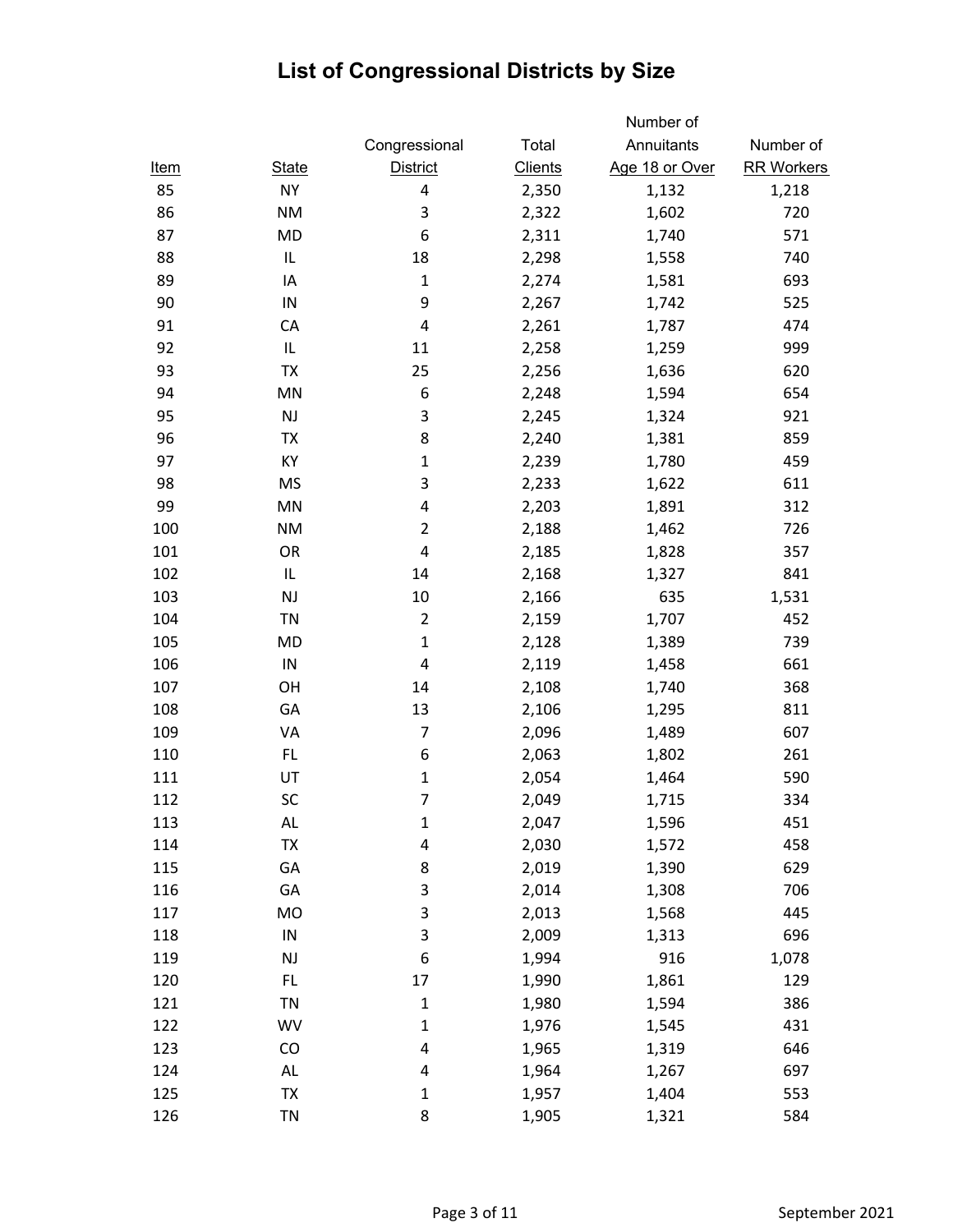|             |               |                 |                | Number of      |                   |
|-------------|---------------|-----------------|----------------|----------------|-------------------|
|             |               | Congressional   | Total          | Annuitants     | Number of         |
| <u>Item</u> | <b>State</b>  | <b>District</b> | <b>Clients</b> | Age 18 or Over | <b>RR Workers</b> |
| 85          | <b>NY</b>     | 4               | 2,350          | 1,132          | 1,218             |
| 86          | <b>NM</b>     | 3               | 2,322          | 1,602          | 720               |
| 87          | <b>MD</b>     | 6               | 2,311          | 1,740          | 571               |
| 88          | IL            | 18              | 2,298          | 1,558          | 740               |
| 89          | IA            | $\mathbf 1$     | 2,274          | 1,581          | 693               |
| 90          | ${\sf IN}$    | 9               | 2,267          | 1,742          | 525               |
| 91          | CA            | 4               | 2,261          | 1,787          | 474               |
| 92          | IL            | 11              | 2,258          | 1,259          | 999               |
| 93          | <b>TX</b>     | 25              | 2,256          | 1,636          | 620               |
| 94          | MN            | 6               | 2,248          | 1,594          | 654               |
| 95          | $\mathsf{NJ}$ | 3               | 2,245          | 1,324          | 921               |
| 96          | <b>TX</b>     | 8               | 2,240          | 1,381          | 859               |
| 97          | KY            | $\mathbf 1$     | 2,239          | 1,780          | 459               |
| 98          | <b>MS</b>     | 3               | 2,233          | 1,622          | 611               |
| 99          | MN            | 4               | 2,203          | 1,891          | 312               |
| 100         | <b>NM</b>     | $\overline{2}$  | 2,188          | 1,462          | 726               |
| 101         | OR            | 4               | 2,185          | 1,828          | 357               |
| 102         | IL            | 14              | 2,168          | 1,327          | 841               |
| 103         | <b>NJ</b>     | 10              | 2,166          | 635            | 1,531             |
| 104         | <b>TN</b>     | $\overline{2}$  | 2,159          | 1,707          | 452               |
| 105         | MD            | $\mathbf 1$     | 2,128          | 1,389          | 739               |
| 106         | ${\sf IN}$    | 4               | 2,119          | 1,458          | 661               |
| 107         | OH            | 14              | 2,108          | 1,740          | 368               |
| 108         | GA            | 13              | 2,106          | 1,295          | 811               |
| 109         | VA            | $\overline{7}$  | 2,096          | 1,489          | 607               |
| 110         | FL.           | 6               | 2,063          | 1,802          | 261               |
| 111         | UT            | $\mathbf 1$     | 2,054          | 1,464          | 590               |
| 112         | SC            | $\overline{7}$  | 2,049          | 1,715          | 334               |
| 113         | AL            | $\mathbf 1$     | 2,047          | 1,596          | 451               |
| 114         | TX            | 4               | 2,030          | 1,572          | 458               |
| 115         | GA            | 8               | 2,019          | 1,390          | 629               |
| 116         | GA            | 3               | 2,014          | 1,308          | 706               |
| 117         | MO            | 3               | 2,013          | 1,568          | 445               |
| 118         | ${\sf IN}$    | 3               | 2,009          | 1,313          | 696               |
| 119         | NJ            | 6               | 1,994          | 916            | 1,078             |
| 120         | FL.           | 17              | 1,990          | 1,861          | 129               |
| 121         | <b>TN</b>     | $\mathbf 1$     | 1,980          | 1,594          | 386               |
| 122         | <b>WV</b>     | $\mathbf 1$     | 1,976          | 1,545          | 431               |
| 123         | CO            | 4               | 1,965          | 1,319          | 646               |
| 124         | AL            | 4               | 1,964          | 1,267          | 697               |
| 125         | TX            | $\mathbf 1$     | 1,957          | 1,404          | 553               |
| 126         | <b>TN</b>     | 8               | 1,905          | 1,321          | 584               |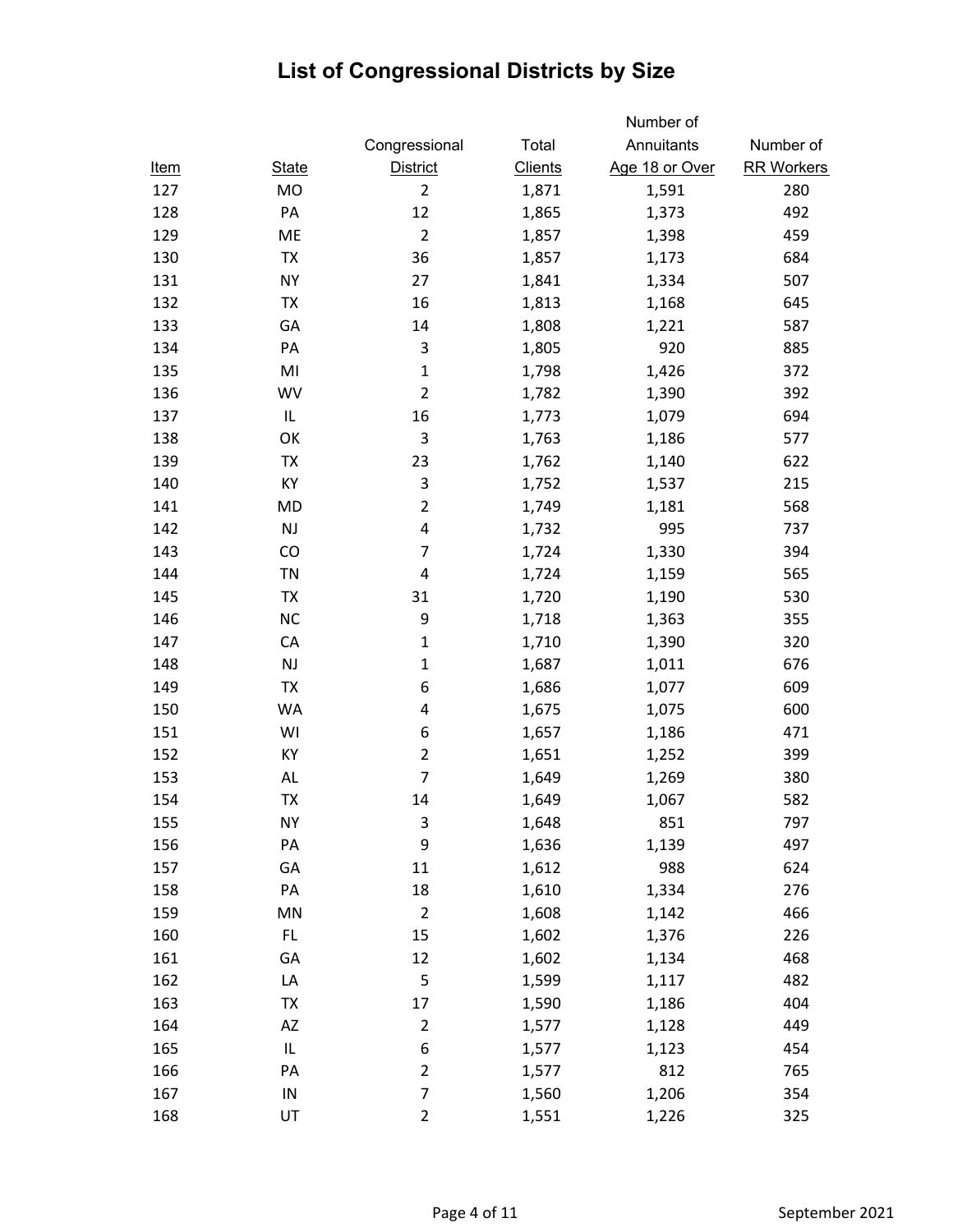|             |              |                           |                | Number of      |                   |
|-------------|--------------|---------------------------|----------------|----------------|-------------------|
|             |              | Congressional             | Total          | Annuitants     | Number of         |
| <u>Item</u> | <b>State</b> | <b>District</b>           | <b>Clients</b> | Age 18 or Over | <b>RR Workers</b> |
| 127         | <b>MO</b>    | $\overline{2}$            | 1,871          | 1,591          | 280               |
| 128         | PA           | 12                        | 1,865          | 1,373          | 492               |
| 129         | ME           | $\overline{2}$            | 1,857          | 1,398          | 459               |
| 130         | <b>TX</b>    | 36                        | 1,857          | 1,173          | 684               |
| 131         | <b>NY</b>    | 27                        | 1,841          | 1,334          | 507               |
| 132         | <b>TX</b>    | 16                        | 1,813          | 1,168          | 645               |
| 133         | GA           | 14                        | 1,808          | 1,221          | 587               |
| 134         | PA           | $\ensuremath{\mathsf{3}}$ | 1,805          | 920            | 885               |
| 135         | MI           | $\mathbf{1}$              | 1,798          | 1,426          | 372               |
| 136         | <b>WV</b>    | $\overline{2}$            | 1,782          | 1,390          | 392               |
| 137         | IL           | 16                        | 1,773          | 1,079          | 694               |
| 138         | OK           | 3                         | 1,763          | 1,186          | 577               |
| 139         | <b>TX</b>    | 23                        | 1,762          | 1,140          | 622               |
| 140         | KY           | 3                         | 1,752          | 1,537          | 215               |
| 141         | <b>MD</b>    | $\overline{2}$            | 1,749          | 1,181          | 568               |
| 142         | NJ           | 4                         | 1,732          | 995            | 737               |
| 143         | CO           | $\overline{7}$            | 1,724          | 1,330          | 394               |
| 144         | <b>TN</b>    | 4                         | 1,724          | 1,159          | 565               |
| 145         | <b>TX</b>    | 31                        | 1,720          | 1,190          | 530               |
| 146         | <b>NC</b>    | 9                         | 1,718          | 1,363          | 355               |
| 147         | CA           | $\mathbf 1$               | 1,710          | 1,390          | 320               |
| 148         | <b>NJ</b>    | $\mathbf 1$               | 1,687          | 1,011          | 676               |
| 149         | <b>TX</b>    | 6                         | 1,686          | 1,077          | 609               |
| 150         | <b>WA</b>    | 4                         | 1,675          | 1,075          | 600               |
| 151         | WI           | 6                         | 1,657          | 1,186          | 471               |
| 152         | КY           | $\overline{2}$            | 1,651          | 1,252          | 399               |
| 153         | AL           | $\overline{7}$            | 1,649          | 1,269          | 380               |
| 154         | TX           | 14                        | 1,649          | 1,067          | 582               |
| 155         | <b>NY</b>    | 3                         | 1,648          | 851            | 797               |
| 156         | PA           | 9                         | 1,636          | 1,139          | 497               |
| 157         | GA           | 11                        | 1,612          | 988            | 624               |
| 158         | PA           | 18                        | 1,610          | 1,334          | 276               |
| 159         | MN           | $\mathbf 2$               | 1,608          | 1,142          | 466               |
| 160         | FL.          | 15                        | 1,602          | 1,376          | 226               |
| 161         | GA           | 12                        | 1,602          | 1,134          | 468               |
| 162         | LA           | 5                         | 1,599          | 1,117          | 482               |
| 163         | TX           | 17                        | 1,590          | 1,186          | 404               |
| 164         | AZ           | $\overline{c}$            | 1,577          | 1,128          | 449               |
| 165         | IL           | 6                         | 1,577          | 1,123          | 454               |
| 166         | PA           | $\overline{2}$            | 1,577          | 812            | 765               |
| 167         | ${\sf IN}$   | $\overline{7}$            | 1,560          | 1,206          | 354               |
| 168         | UT           | $\overline{2}$            | 1,551          | 1,226          | 325               |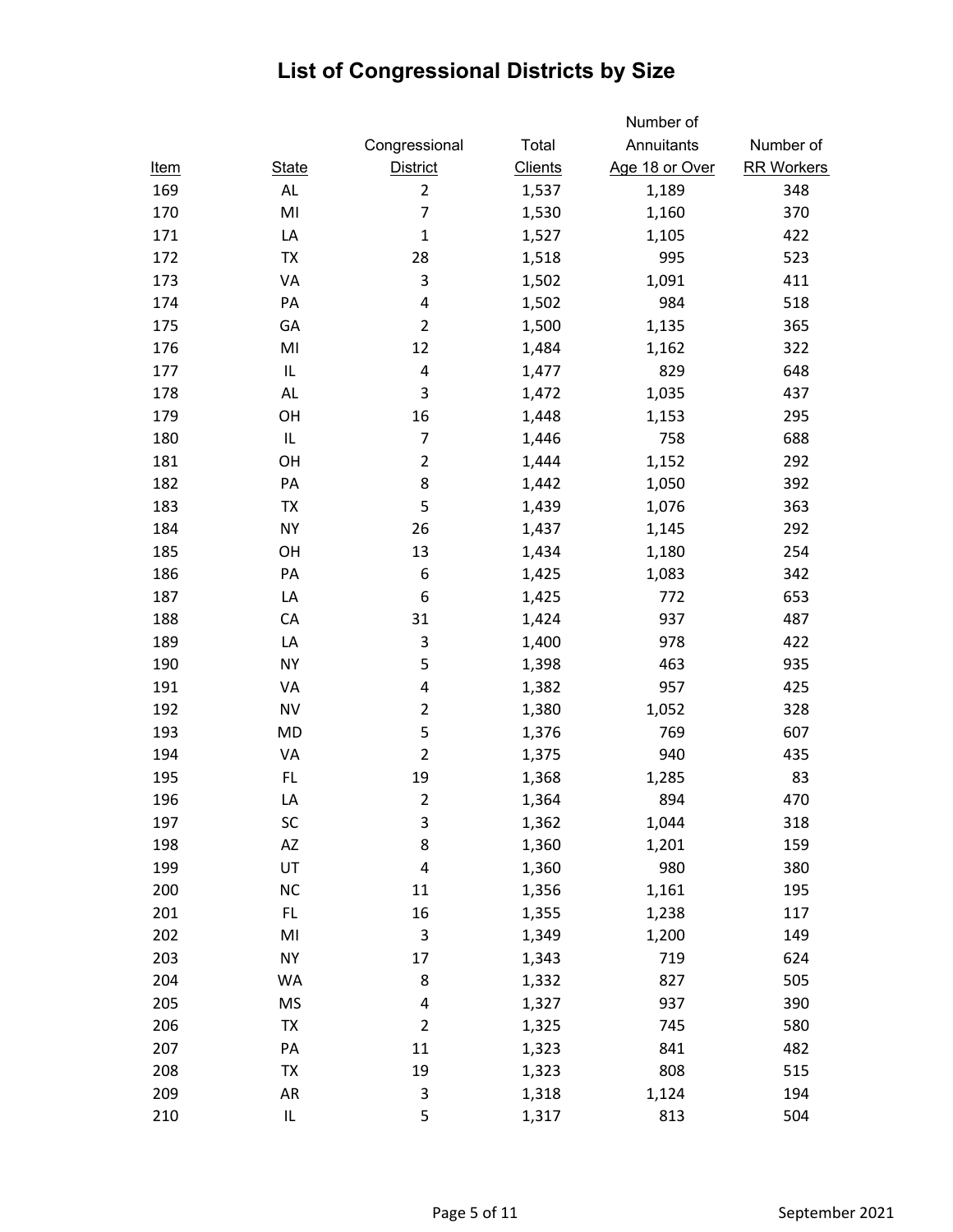|             |                |                           |                | Number of      |                   |
|-------------|----------------|---------------------------|----------------|----------------|-------------------|
|             |                | Congressional             | Total          | Annuitants     | Number of         |
| <u>Item</u> | <b>State</b>   | <b>District</b>           | <b>Clients</b> | Age 18 or Over | <b>RR Workers</b> |
| 169         | AL             | $\overline{2}$            | 1,537          | 1,189          | 348               |
| 170         | MI             | $\overline{7}$            | 1,530          | 1,160          | 370               |
| 171         | LA             | $\mathbf{1}$              | 1,527          | 1,105          | 422               |
| 172         | <b>TX</b>      | 28                        | 1,518          | 995            | 523               |
| 173         | VA             | 3                         | 1,502          | 1,091          | 411               |
| 174         | PA             | 4                         | 1,502          | 984            | 518               |
| 175         | GA             | $\overline{2}$            | 1,500          | 1,135          | 365               |
| 176         | MI             | 12                        | 1,484          | 1,162          | 322               |
| 177         | IL             | $\overline{\mathbf{4}}$   | 1,477          | 829            | 648               |
| 178         | <b>AL</b>      | 3                         | 1,472          | 1,035          | 437               |
| 179         | OH             | 16                        | 1,448          | 1,153          | 295               |
| 180         | IL             | $\overline{7}$            | 1,446          | 758            | 688               |
| 181         | OH             | $\overline{2}$            | 1,444          | 1,152          | 292               |
| 182         | PA             | 8                         | 1,442          | 1,050          | 392               |
| 183         | <b>TX</b>      | 5                         | 1,439          | 1,076          | 363               |
| 184         | <b>NY</b>      | 26                        | 1,437          | 1,145          | 292               |
| 185         | OH             | 13                        | 1,434          | 1,180          | 254               |
| 186         | PA             | 6                         | 1,425          | 1,083          | 342               |
| 187         | LA             | 6                         | 1,425          | 772            | 653               |
| 188         | CA             | 31                        | 1,424          | 937            | 487               |
| 189         | LA             | 3                         | 1,400          | 978            | 422               |
| 190         | <b>NY</b>      | 5                         | 1,398          | 463            | 935               |
| 191         | VA             | 4                         | 1,382          | 957            | 425               |
| 192         | <b>NV</b>      | $\overline{2}$            | 1,380          | 1,052          | 328               |
| 193         | <b>MD</b>      | 5                         | 1,376          | 769            | 607               |
| 194         | VA             | $\overline{2}$            | 1,375          | 940            | 435               |
| 195         | FL.            | 19                        | 1,368          | 1,285          | 83                |
| 196         | LA             | $\overline{2}$            | 1,364          | 894            | 470               |
| 197         | SC             | $\ensuremath{\mathsf{3}}$ | 1,362          | 1,044          | 318               |
| 198         | AZ             | 8                         | 1,360          | 1,201          | 159               |
| 199         | UT             | $\pmb{4}$                 | 1,360          | 980            | 380               |
| 200         | NC             | 11                        | 1,356          | 1,161          | 195               |
| 201         | FL.            | 16                        | 1,355          | 1,238          | 117               |
| 202         | M <sub>l</sub> | 3                         | 1,349          | 1,200          | 149               |
| 203         | <b>NY</b>      | 17                        | 1,343          | 719            | 624               |
| 204         | WA             | 8                         | 1,332          | 827            | 505               |
| 205         | <b>MS</b>      | 4                         | 1,327          | 937            | 390               |
| 206         | <b>TX</b>      | $\overline{2}$            | 1,325          | 745            | 580               |
| 207         | PA             | $11\,$                    | 1,323          | 841            | 482               |
| 208         | TX             | 19                        | 1,323          | 808            | 515               |
| 209         | AR             | 3                         | 1,318          | 1,124          | 194               |
| 210         | IL             | 5                         | 1,317          | 813            | 504               |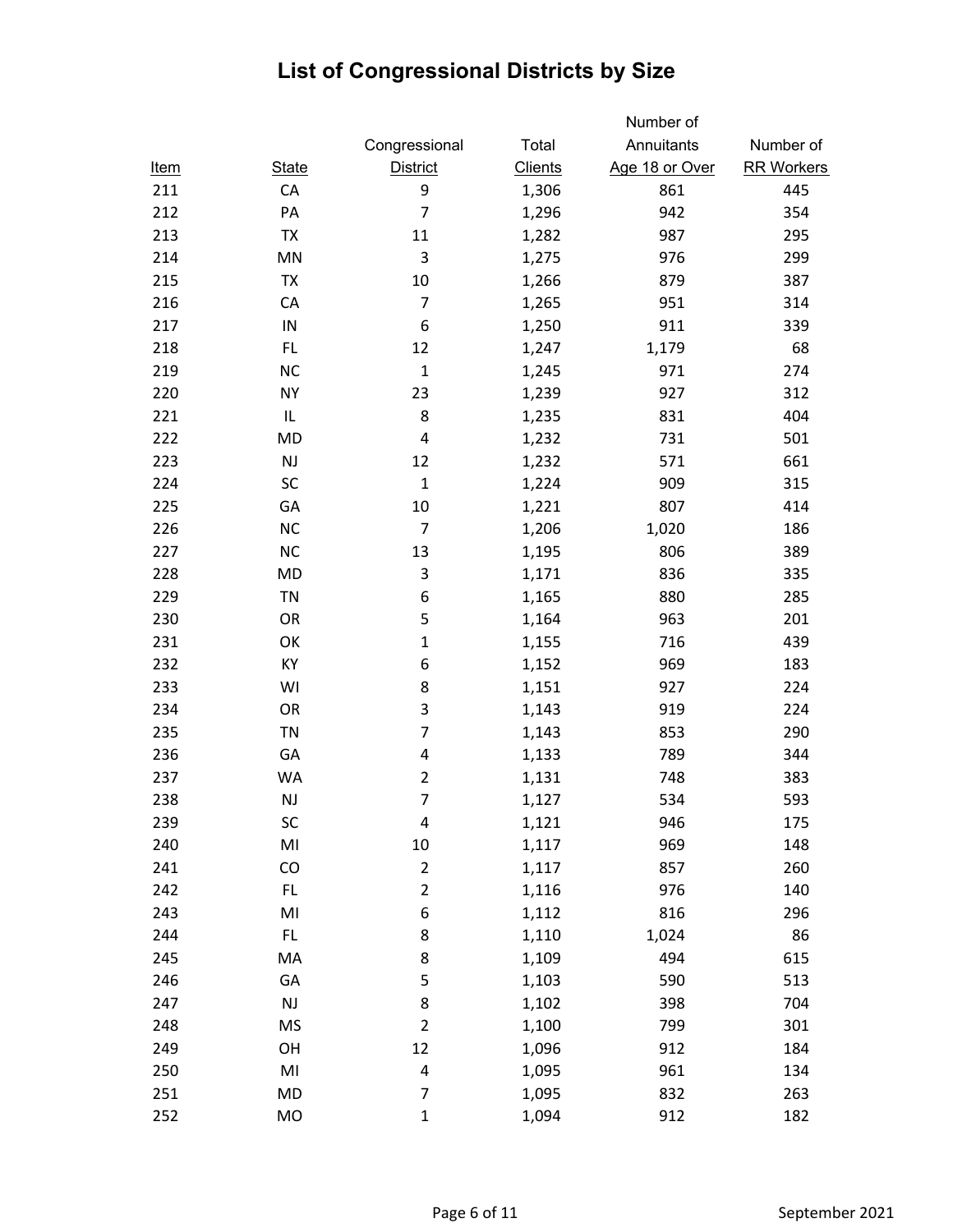|             |                |                         |                | Number of      |                   |
|-------------|----------------|-------------------------|----------------|----------------|-------------------|
|             |                | Congressional           | Total          | Annuitants     | Number of         |
| <u>Item</u> | <b>State</b>   | <b>District</b>         | <b>Clients</b> | Age 18 or Over | <b>RR Workers</b> |
| 211         | CA             | 9                       | 1,306          | 861            | 445               |
| 212         | PA             | $\overline{7}$          | 1,296          | 942            | 354               |
| 213         | <b>TX</b>      | 11                      | 1,282          | 987            | 295               |
| 214         | MN             | $\mathsf{3}$            | 1,275          | 976            | 299               |
| 215         | <b>TX</b>      | 10                      | 1,266          | 879            | 387               |
| 216         | CA             | $\overline{7}$          | 1,265          | 951            | 314               |
| 217         | IN             | 6                       | 1,250          | 911            | 339               |
| 218         | FL.            | 12                      | 1,247          | 1,179          | 68                |
| 219         | <b>NC</b>      | $\mathbf{1}$            | 1,245          | 971            | 274               |
| 220         | <b>NY</b>      | 23                      | 1,239          | 927            | 312               |
| 221         | IL             | 8                       | 1,235          | 831            | 404               |
| 222         | MD             | 4                       | 1,232          | 731            | 501               |
| 223         | NJ             | 12                      | 1,232          | 571            | 661               |
| 224         | SC             | $\mathbf{1}$            | 1,224          | 909            | 315               |
| 225         | GA             | 10                      | 1,221          | 807            | 414               |
| 226         | <b>NC</b>      | $\overline{7}$          | 1,206          | 1,020          | 186               |
| 227         | <b>NC</b>      | 13                      | 1,195          | 806            | 389               |
| 228         | MD             | 3                       | 1,171          | 836            | 335               |
| 229         | <b>TN</b>      | 6                       | 1,165          | 880            | 285               |
| 230         | OR             | 5                       | 1,164          | 963            | 201               |
| 231         | OK             | $\mathbf{1}$            | 1,155          | 716            | 439               |
| 232         | KY             | 6                       | 1,152          | 969            | 183               |
| 233         | WI             | 8                       | 1,151          | 927            | 224               |
| 234         | OR             | 3                       | 1,143          | 919            | 224               |
| 235         | <b>TN</b>      | $\overline{7}$          | 1,143          | 853            | 290               |
| 236         | GA             | 4                       | 1,133          | 789            | 344               |
| 237         | WA             | $\overline{2}$          | 1,131          | 748            | 383               |
| 238         | NJ             | $\overline{7}$          | 1,127          | 534            | 593               |
| 239         | SC             | 4                       | 1,121          | 946            | 175               |
| 240         | M <sub>l</sub> | $10\,$                  | 1,117          | 969            | 148               |
| 241         | CO             | $\overline{2}$          | 1,117          | 857            | 260               |
| 242         | FL.            | $\overline{2}$          | 1,116          | 976            | 140               |
| 243         | MI             | 6                       | 1,112          | 816            | 296               |
| 244         | FL.            | 8                       | 1,110          | 1,024          | 86                |
| 245         | MA             | 8                       | 1,109          | 494            | 615               |
| 246         | GA             | 5                       | 1,103          | 590            | 513               |
| 247         | $\mathsf{NJ}$  | 8                       | 1,102          | 398            | 704               |
| 248         | <b>MS</b>      | $\overline{2}$          | 1,100          | 799            | 301               |
| 249         | OH             | 12                      | 1,096          | 912            | 184               |
| 250         | MI             | $\overline{\mathbf{4}}$ | 1,095          | 961            | 134               |
| 251         | MD             | $\overline{7}$          | 1,095          | 832            | 263               |
| 252         | MO             | $\mathbf{1}$            | 1,094          | 912            | 182               |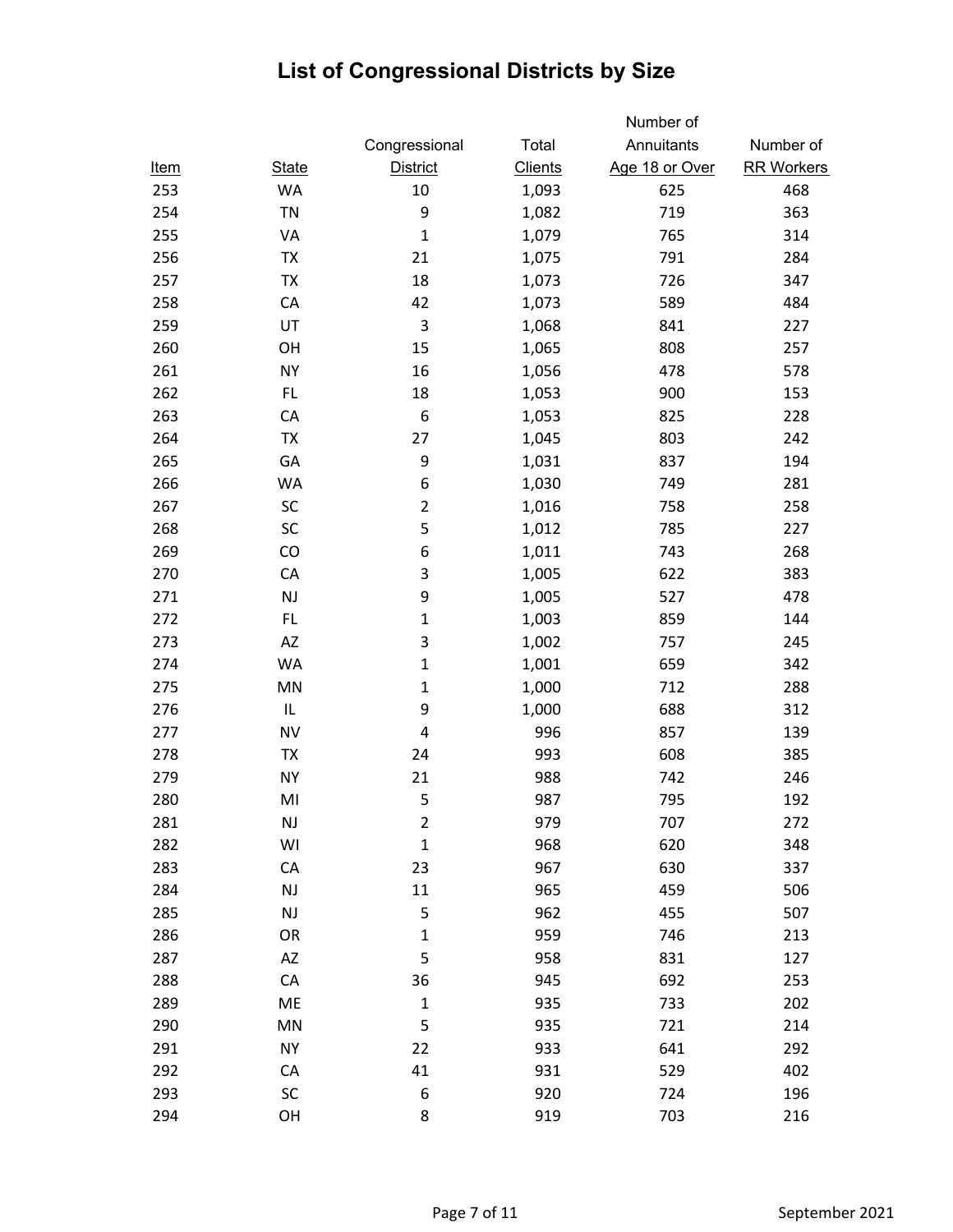|             |              |                 |                | Number of      |                   |
|-------------|--------------|-----------------|----------------|----------------|-------------------|
|             |              | Congressional   | Total          | Annuitants     | Number of         |
| <u>Item</u> | <b>State</b> | <b>District</b> | <b>Clients</b> | Age 18 or Over | <b>RR Workers</b> |
| 253         | <b>WA</b>    | 10              | 1,093          | 625            | 468               |
| 254         | <b>TN</b>    | 9               | 1,082          | 719            | 363               |
| 255         | VA           | $\mathbf{1}$    | 1,079          | 765            | 314               |
| 256         | <b>TX</b>    | 21              | 1,075          | 791            | 284               |
| 257         | TX           | 18              | 1,073          | 726            | 347               |
| 258         | CA           | 42              | 1,073          | 589            | 484               |
| 259         | UT           | 3               | 1,068          | 841            | 227               |
| 260         | OH           | 15              | 1,065          | 808            | 257               |
| 261         | <b>NY</b>    | 16              | 1,056          | 478            | 578               |
| 262         | FL.          | 18              | 1,053          | 900            | 153               |
| 263         | CA           | 6               | 1,053          | 825            | 228               |
| 264         | TX           | 27              | 1,045          | 803            | 242               |
| 265         | GA           | 9               | 1,031          | 837            | 194               |
| 266         | WA           | 6               | 1,030          | 749            | 281               |
| 267         | SC           | $\overline{2}$  | 1,016          | 758            | 258               |
| 268         | SC           | 5               | 1,012          | 785            | 227               |
| 269         | CO           | 6               | 1,011          | 743            | 268               |
| 270         | CA           | 3               | 1,005          | 622            | 383               |
| 271         | <b>NJ</b>    | 9               | 1,005          | 527            | 478               |
| 272         | FL.          | $\mathbf{1}$    | 1,003          | 859            | 144               |
| 273         | ΑZ           | 3               | 1,002          | 757            | 245               |
| 274         | <b>WA</b>    | $\mathbf{1}$    | 1,001          | 659            | 342               |
| 275         | MN           | $\mathbf 1$     | 1,000          | 712            | 288               |
| 276         | $\sf IL$     | 9               | 1,000          | 688            | 312               |
| 277         | <b>NV</b>    | 4               | 996            | 857            | 139               |
| 278         | TX           | 24              | 993            | 608            | 385               |
| 279         | <b>NY</b>    | 21              | 988            | 742            | 246               |
| 280         | MI           | 5               | 987            | 795            | 192               |
| 281         | NJ           | $\overline{2}$  | 979            | 707            | 272               |
| 282         | WI           | $\mathbf{1}$    | 968            | 620            | 348               |
| 283         | CA           | 23              | 967            | 630            | 337               |
| 284         | NJ           | $11\,$          | 965            | 459            | 506               |
| 285         | <b>NJ</b>    | 5               | 962            | 455            | 507               |
| 286         | OR           | $\mathbf 1$     | 959            | 746            | 213               |
| 287         | <b>AZ</b>    | 5               | 958            | 831            | 127               |
| 288         | CA           | 36              | 945            | 692            | 253               |
| 289         | ME           | $\mathbf 1$     | 935            | 733            | 202               |
| 290         | MN           | 5               | 935            | 721            | 214               |
| 291         | <b>NY</b>    | 22              | 933            | 641            | 292               |
| 292         | CA           | 41              | 931            | 529            | 402               |
| 293         | SC           | 6               | 920            | 724            | 196               |
| 294         | OH           | 8               | 919            | 703            | 216               |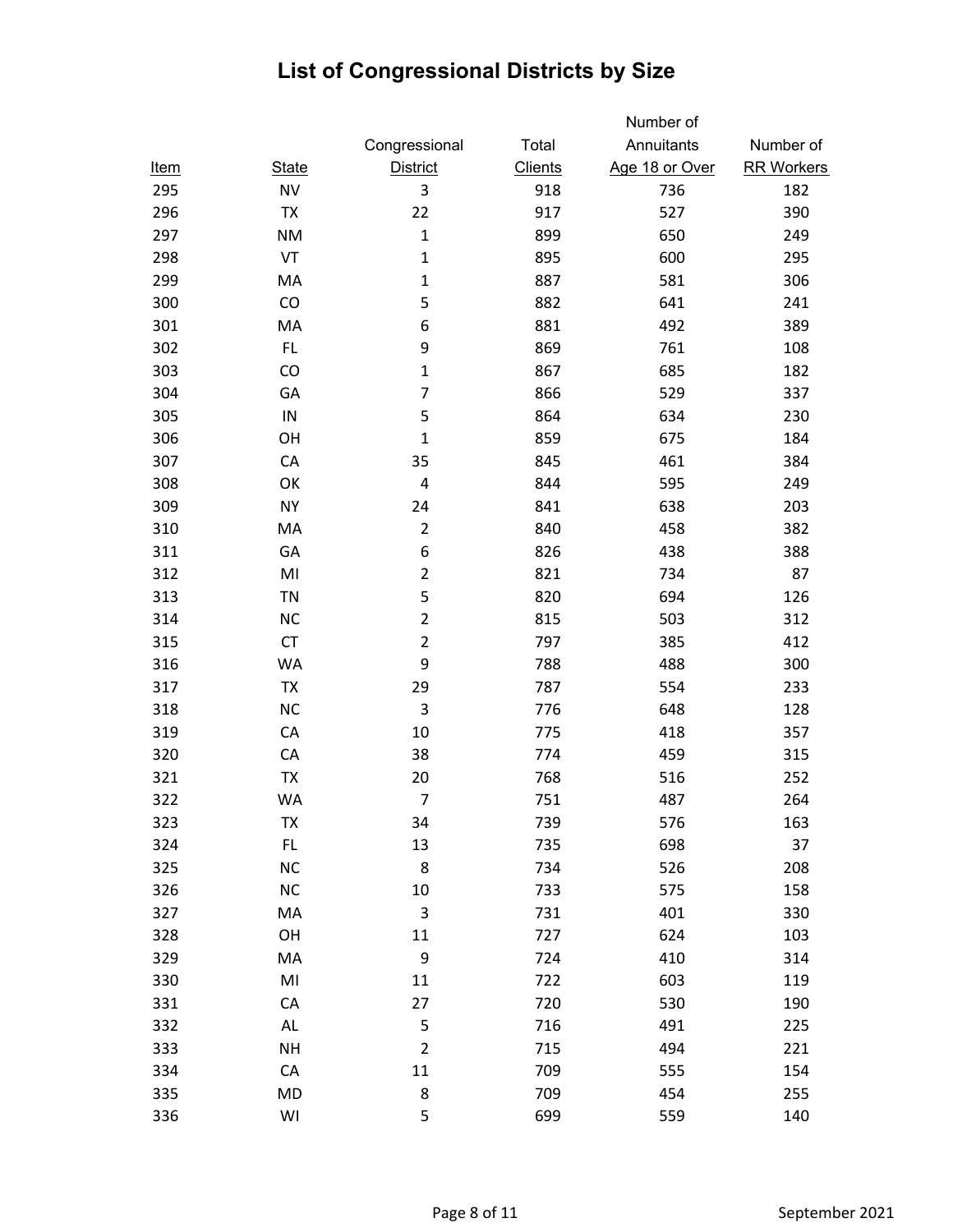|             |              |                 |                | Number of      |                   |
|-------------|--------------|-----------------|----------------|----------------|-------------------|
|             |              | Congressional   | Total          | Annuitants     | Number of         |
| <u>Item</u> | <b>State</b> | <b>District</b> | <b>Clients</b> | Age 18 or Over | <b>RR Workers</b> |
| 295         | <b>NV</b>    | 3               | 918            | 736            | 182               |
| 296         | TX           | 22              | 917            | 527            | 390               |
| 297         | <b>NM</b>    | $\mathbf 1$     | 899            | 650            | 249               |
| 298         | VT           | $\mathbf 1$     | 895            | 600            | 295               |
| 299         | MA           | $\mathbf 1$     | 887            | 581            | 306               |
| 300         | CO           | 5               | 882            | 641            | 241               |
| 301         | MA           | 6               | 881            | 492            | 389               |
| 302         | FL.          | 9               | 869            | 761            | 108               |
| 303         | CO           | $\mathbf 1$     | 867            | 685            | 182               |
| 304         | GA           | $\overline{7}$  | 866            | 529            | 337               |
| 305         | ${\sf IN}$   | 5               | 864            | 634            | 230               |
| 306         | OH           | $\mathbf 1$     | 859            | 675            | 184               |
| 307         | CA           | 35              | 845            | 461            | 384               |
| 308         | OK           | 4               | 844            | 595            | 249               |
| 309         | <b>NY</b>    | 24              | 841            | 638            | 203               |
| 310         | MA           | $\mathbf 2$     | 840            | 458            | 382               |
| 311         | GA           | 6               | 826            | 438            | 388               |
| 312         | MI           | $\overline{2}$  | 821            | 734            | 87                |
| 313         | <b>TN</b>    | 5               | 820            | 694            | 126               |
| 314         | <b>NC</b>    | $\overline{2}$  | 815            | 503            | 312               |
| 315         | CT           | $\mathbf 2$     | 797            | 385            | 412               |
| 316         | <b>WA</b>    | 9               | 788            | 488            | 300               |
| 317         | TX           | 29              | 787            | 554            | 233               |
| 318         | <b>NC</b>    | 3               | 776            | 648            | 128               |
| 319         | CA           | 10              | 775            | 418            | 357               |
| 320         | CA           | 38              | 774            | 459            | 315               |
| 321         | TX           | 20              | 768            | 516            | 252               |
| 322         | WA           | $\overline{7}$  | 751            | 487            | 264               |
| 323         | TX           | 34              | 739            | 576            | 163               |
| 324         | FL.          | 13              | 735            | 698            | 37                |
| 325         | <b>NC</b>    | 8               | 734            | 526            | 208               |
| 326         | NC           | 10              | 733            | 575            | 158               |
| 327         | MA           | 3               | 731            | 401            | 330               |
| 328         | OH           | 11              | 727            | 624            | 103               |
| 329         | MA           | 9               | 724            | 410            | 314               |
| 330         | MI           | 11              | 722            | 603            | 119               |
| 331         | CA           | 27              | 720            | 530            | 190               |
| 332         | AL           | 5               | 716            | 491            | 225               |
| 333         | <b>NH</b>    | $\overline{2}$  | 715            | 494            | 221               |
| 334         | CA           | 11              | 709            | 555            | 154               |
| 335         | <b>MD</b>    | 8               | 709            | 454            | 255               |
| 336         | WI           | 5               | 699            | 559            | 140               |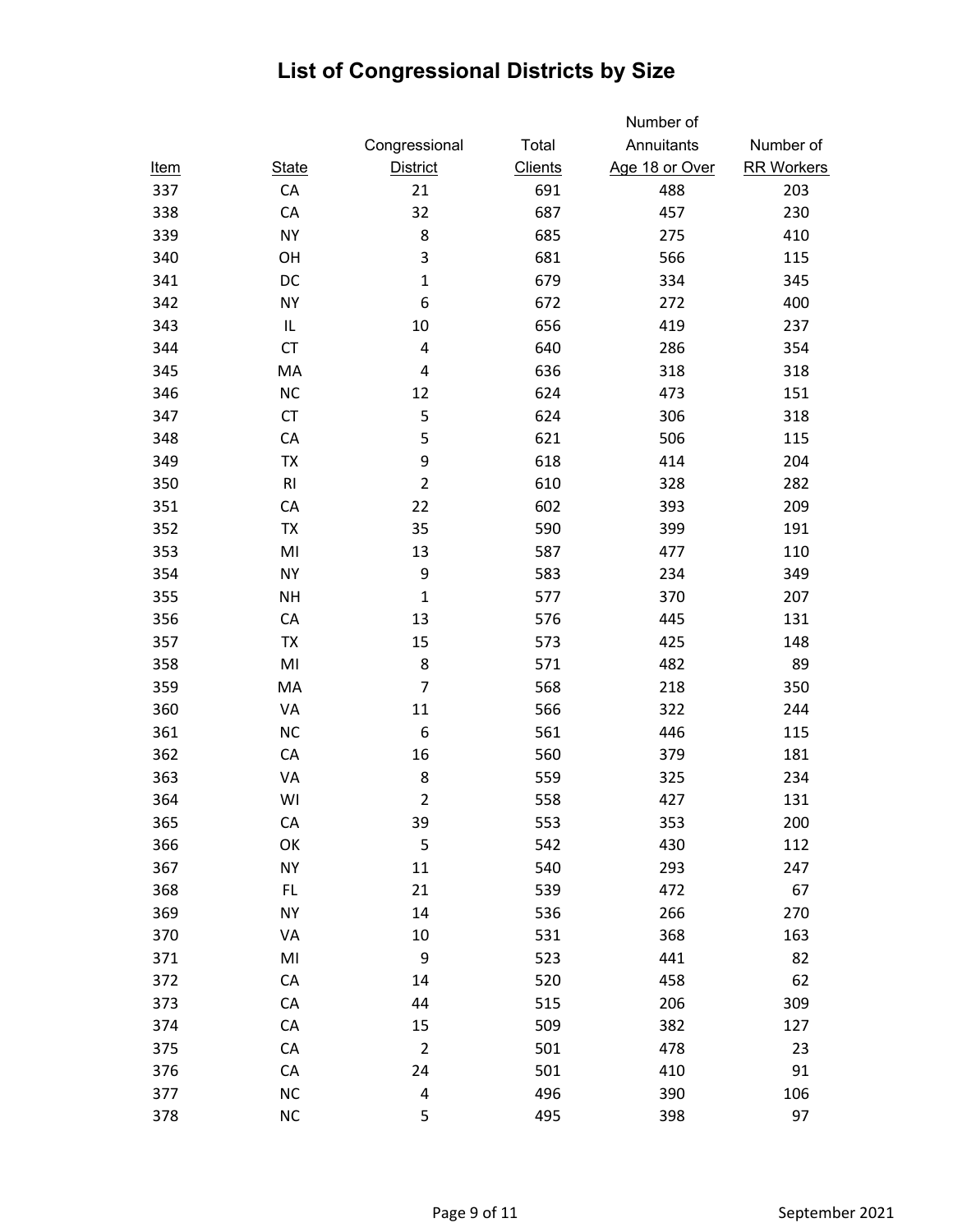|             |                |                         |                | Number of      |                   |
|-------------|----------------|-------------------------|----------------|----------------|-------------------|
|             |                | Congressional           | Total          | Annuitants     | Number of         |
| <u>Item</u> | <b>State</b>   | <b>District</b>         | <b>Clients</b> | Age 18 or Over | <b>RR Workers</b> |
| 337         | CA             | 21                      | 691            | 488            | 203               |
| 338         | CA             | 32                      | 687            | 457            | 230               |
| 339         | <b>NY</b>      | 8                       | 685            | 275            | 410               |
| 340         | OH             | 3                       | 681            | 566            | 115               |
| 341         | DC             | $\mathbf 1$             | 679            | 334            | 345               |
| 342         | <b>NY</b>      | 6                       | 672            | 272            | 400               |
| 343         | IL             | 10                      | 656            | 419            | 237               |
| 344         | <b>CT</b>      | 4                       | 640            | 286            | 354               |
| 345         | MA             | 4                       | 636            | 318            | 318               |
| 346         | <b>NC</b>      | 12                      | 624            | 473            | 151               |
| 347         | CT             | 5                       | 624            | 306            | 318               |
| 348         | CA             | 5                       | 621            | 506            | 115               |
| 349         | TX             | 9                       | 618            | 414            | 204               |
| 350         | RI             | $\overline{2}$          | 610            | 328            | 282               |
| 351         | CA             | 22                      | 602            | 393            | 209               |
| 352         | <b>TX</b>      | 35                      | 590            | 399            | 191               |
| 353         | M <sub>l</sub> | 13                      | 587            | 477            | 110               |
| 354         | <b>NY</b>      | 9                       | 583            | 234            | 349               |
| 355         | <b>NH</b>      | $\mathbf 1$             | 577            | 370            | 207               |
| 356         | CA             | 13                      | 576            | 445            | 131               |
| 357         | TX             | 15                      | 573            | 425            | 148               |
| 358         | MI             | 8                       | 571            | 482            | 89                |
| 359         | MA             | $\overline{7}$          | 568            | 218            | 350               |
| 360         | VA             | 11                      | 566            | 322            | 244               |
| 361         | <b>NC</b>      | 6                       | 561            | 446            | 115               |
| 362         | CA             | 16                      | 560            | 379            | 181               |
| 363         | VA             | 8                       | 559            | 325            | 234               |
| 364         | WI             | $\overline{2}$          | 558            | 427            | 131               |
| 365         | CA             | 39                      | 553            | 353            | 200               |
| 366         | OK             | 5                       | 542            | 430            | 112               |
| 367         | <b>NY</b>      | 11                      | 540            | 293            | 247               |
| 368         | FL.            | 21                      | 539            | 472            | 67                |
| 369         | <b>NY</b>      | 14                      | 536            | 266            | 270               |
| 370         | VA             | 10                      | 531            | 368            | 163               |
| 371         | MI             | 9                       | 523            | 441            | 82                |
| 372         | CA             | 14                      | 520            | 458            | 62                |
| 373         | CA             | 44                      | 515            | 206            | 309               |
| 374         | ${\sf CA}$     | 15                      | 509            | 382            | 127               |
| 375         | ${\sf CA}$     | $\overline{2}$          | 501            | 478            | 23                |
| 376         | CA             | 24                      | 501            | 410            | 91                |
| 377         | NC             | $\overline{\mathbf{r}}$ | 496            | 390            | 106               |
| 378         | <b>NC</b>      | 5                       | 495            | 398            | 97                |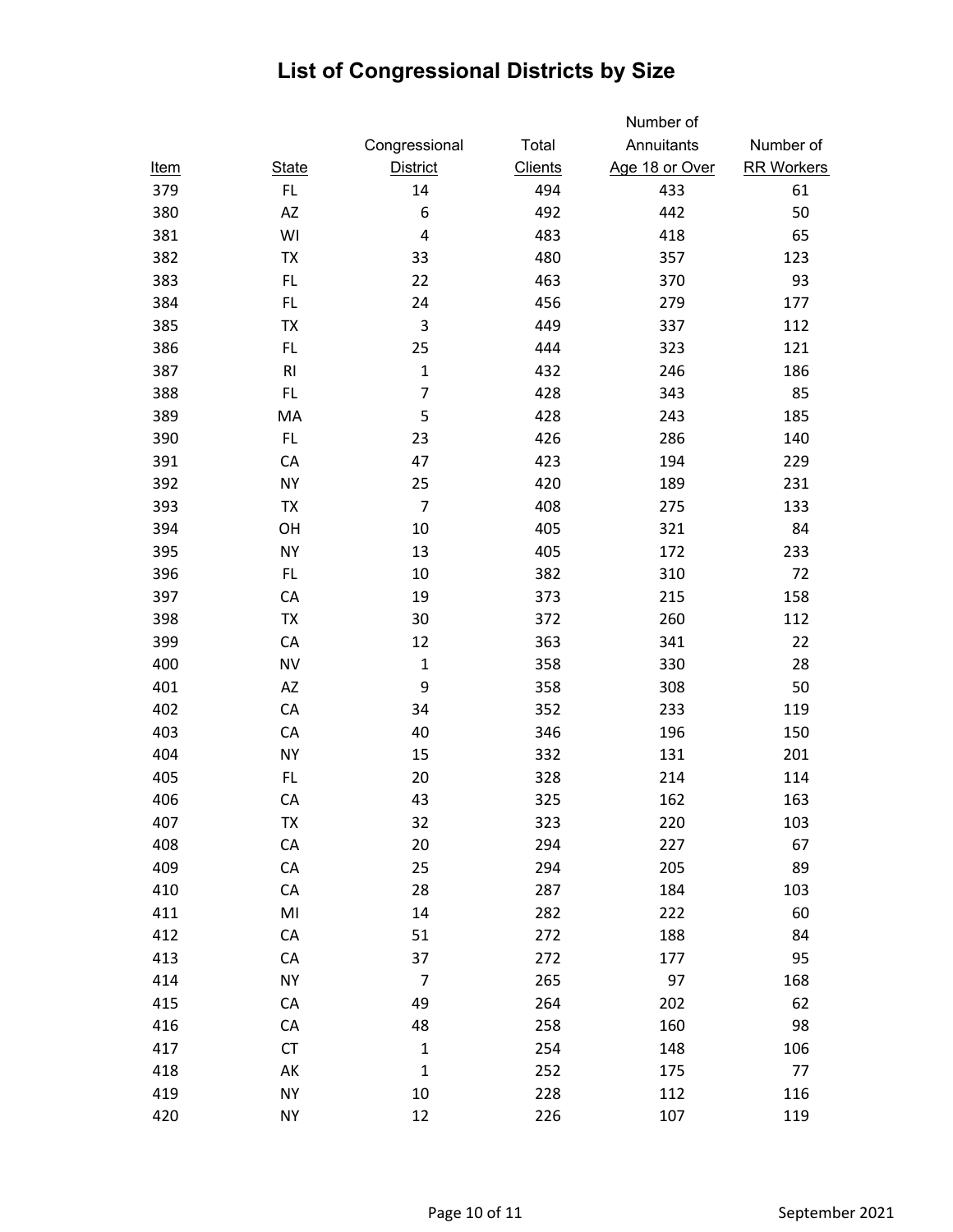|             |                |                         |                | Number of      |                   |
|-------------|----------------|-------------------------|----------------|----------------|-------------------|
|             |                | Congressional           | Total          | Annuitants     | Number of         |
| <u>Item</u> | <b>State</b>   | <b>District</b>         | <b>Clients</b> | Age 18 or Over | <b>RR Workers</b> |
| 379         | FL.            | 14                      | 494            | 433            | 61                |
| 380         | <b>AZ</b>      | 6                       | 492            | 442            | 50                |
| 381         | WI             | $\overline{\mathbf{4}}$ | 483            | 418            | 65                |
| 382         | <b>TX</b>      | 33                      | 480            | 357            | 123               |
| 383         | FL.            | 22                      | 463            | 370            | 93                |
| 384         | FL.            | 24                      | 456            | 279            | 177               |
| 385         | TX             | 3                       | 449            | 337            | 112               |
| 386         | FL.            | 25                      | 444            | 323            | 121               |
| 387         | R1             | $\mathbf 1$             | 432            | 246            | 186               |
| 388         | FL.            | $\overline{7}$          | 428            | 343            | 85                |
| 389         | MA             | 5                       | 428            | 243            | 185               |
| 390         | FL.            | 23                      | 426            | 286            | 140               |
| 391         | CA             | 47                      | 423            | 194            | 229               |
| 392         | <b>NY</b>      | 25                      | 420            | 189            | 231               |
| 393         | TX             | $\overline{7}$          | 408            | 275            | 133               |
| 394         | OH             | 10                      | 405            | 321            | 84                |
| 395         | <b>NY</b>      | 13                      | 405            | 172            | 233               |
| 396         | FL.            | 10                      | 382            | 310            | 72                |
| 397         | CA             | 19                      | 373            | 215            | 158               |
| 398         | TX             | 30                      | 372            | 260            | 112               |
| 399         | CA             | 12                      | 363            | 341            | 22                |
| 400         | <b>NV</b>      | $\mathbf{1}$            | 358            | 330            | 28                |
| 401         | AZ             | 9                       | 358            | 308            | 50                |
| 402         | CA             | 34                      | 352            | 233            | 119               |
| 403         | CA             | 40                      | 346            | 196            | 150               |
| 404         | <b>NY</b>      | 15                      | 332            | 131            | 201               |
| 405         | FL.            | 20                      | 328            | 214            | 114               |
| 406         | CA             | 43                      | 325            | 162            | 163               |
| 407         | TX             | 32                      | 323            | 220            | 103               |
| 408         | ${\sf CA}$     | 20                      | 294            | 227            | 67                |
| 409         | ${\sf CA}$     | 25                      | 294            | 205            | 89                |
| 410         | CA             | 28                      | 287            | 184            | 103               |
| 411         | M <sub>l</sub> | 14                      | 282            | 222            | 60                |
| 412         | CA             | 51                      | 272            | 188            | 84                |
| 413         | CA             | 37                      | 272            | 177            | 95                |
| 414         | <b>NY</b>      | $\overline{7}$          | 265            | 97             | 168               |
| 415         | CA             | 49                      | 264            | 202            | 62                |
| 416         | CA             | 48                      | 258            | 160            | 98                |
| 417         | <b>CT</b>      | $\mathbf 1$             | 254            | 148            | 106               |
| 418         | AK             | $\mathbf 1$             | 252            | 175            | 77                |
| 419         | <b>NY</b>      | $10\,$                  | 228            | 112            | 116               |
| 420         | <b>NY</b>      | 12                      | 226            | 107            | 119               |